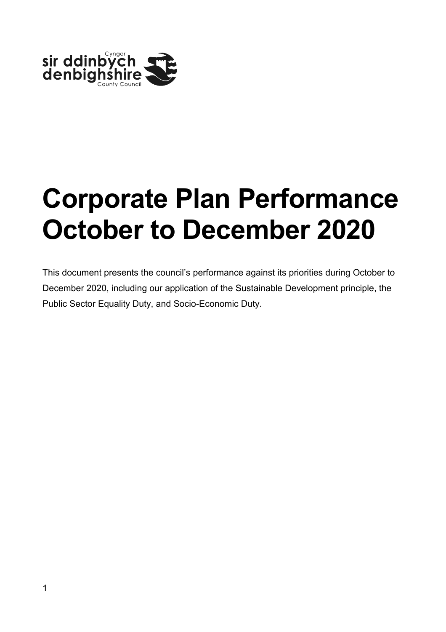

# **Corporate Plan Performance October to December 2020**

This document presents the council's performance against its priorities during October to December 2020, including our application of the Sustainable Development principle, the Public Sector Equality Duty, and Socio-Economic Duty.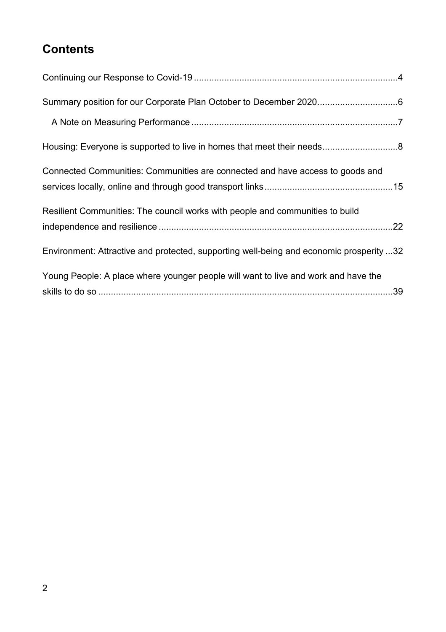# **Contents**

| Connected Communities: Communities are connected and have access to goods and           |  |
|-----------------------------------------------------------------------------------------|--|
|                                                                                         |  |
| Resilient Communities: The council works with people and communities to build           |  |
|                                                                                         |  |
| Environment: Attractive and protected, supporting well-being and economic prosperity 32 |  |
| Young People: A place where younger people will want to live and work and have the      |  |
|                                                                                         |  |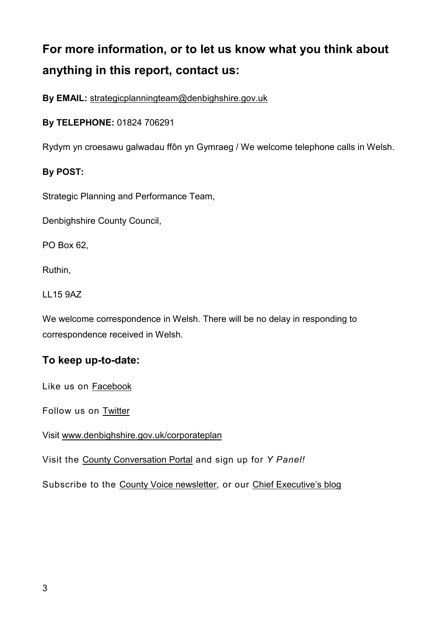# **For more information, or to let us know what you think about anything in this report, contact us:**

**By EMAIL:** [strategicplanningteam@denbighshire.gov.uk](mailto:strategicplanningteam@denbighshire.gov.uk)

**By TELEPHONE:** 01824 706291

Rydym yn croesawu galwadau ffôn yn Gymraeg / We welcome telephone calls in Welsh.

#### **By POST:**

Strategic Planning and Performance Team,

Denbighshire County Council,

PO Box 62,

Ruthin,

LL15 9AZ

We welcome correspondence in Welsh. There will be no delay in responding to correspondence received in Welsh.

#### **To keep up-to-date:**

Like us on [Facebook](https://www.facebook.com/denbighshirecountycouncil)

Follow us on **Twitter** 

Visit [www.denbighshire.gov.uk/corporateplan](http://www.denbighshire.gov.uk/corporateplan)

Visit the [County Conversation Portal](https://countyconversation.denbighshire.gov.uk/) and sign up for *Y Panel!*

Subscribe to the [County Voice newsletter,](https://countyvoice.denbighshire.gov.uk/) or our [Chief Executive's blog](https://denbighshirechiefexecutive.wordpress.com/)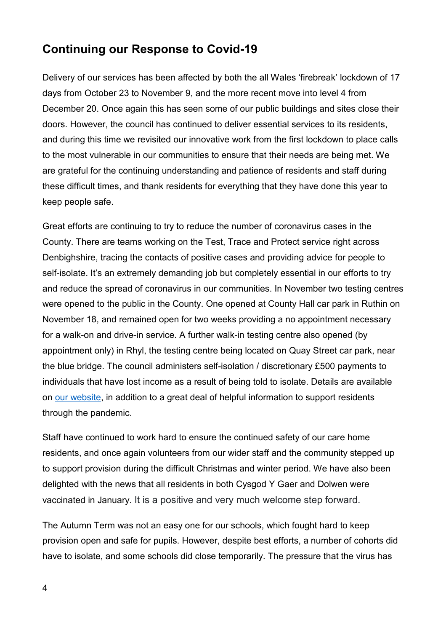# <span id="page-3-0"></span>**Continuing our Response to Covid-19**

Delivery of our services has been affected by both the all Wales 'firebreak' lockdown of 17 days from October 23 to November 9, and the more recent move into level 4 from December 20. Once again this has seen some of our public buildings and sites close their doors. However, the council has continued to deliver essential services to its residents, and during this time we revisited our innovative work from the first lockdown to place calls to the most vulnerable in our communities to ensure that their needs are being met. We are grateful for the continuing understanding and patience of residents and staff during these difficult times, and thank residents for everything that they have done this year to keep people safe.

Great efforts are continuing to try to reduce the number of coronavirus cases in the County. There are teams working on the Test, Trace and Protect service right across Denbighshire, tracing the contacts of positive cases and providing advice for people to self-isolate. It's an extremely demanding job but completely essential in our efforts to try and reduce the spread of coronavirus in our communities. In November two testing centres were opened to the public in the County. One opened at County Hall car park in Ruthin on November 18, and remained open for two weeks providing a no appointment necessary for a walk-on and drive-in service. A further walk-in testing centre also opened (by appointment only) in Rhyl, the testing centre being located on Quay Street car park, near the blue bridge. The council administers self-isolation / discretionary £500 payments to individuals that have lost income as a result of being told to isolate. Details are available on [our website,](https://www.denbighshire.gov.uk/en/coronavirus/isolation-payments.aspx) in addition to a great deal of helpful information to support residents through the pandemic.

Staff have continued to work hard to ensure the continued safety of our care home residents, and once again volunteers from our wider staff and the community stepped up to support provision during the difficult Christmas and winter period. We have also been delighted with the news that all residents in both Cysgod Y Gaer and Dolwen were vaccinated in January. It is a positive and very much welcome step forward.

The Autumn Term was not an easy one for our schools, which fought hard to keep provision open and safe for pupils. However, despite best efforts, a number of cohorts did have to isolate, and some schools did close temporarily. The pressure that the virus has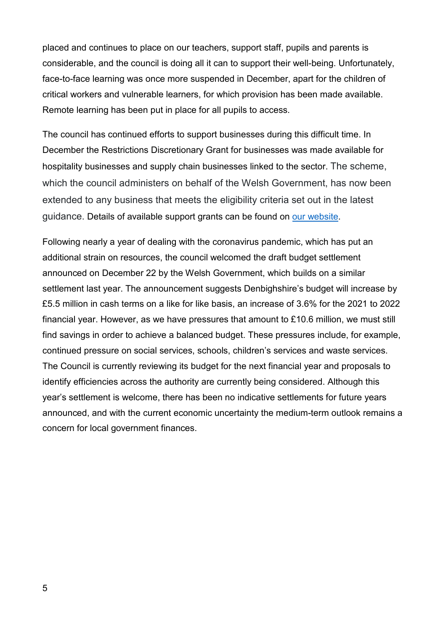placed and continues to place on our teachers, support staff, pupils and parents is considerable, and the council is doing all it can to support their well-being. Unfortunately, face-to-face learning was once more suspended in December, apart for the children of critical workers and vulnerable learners, for which provision has been made available. Remote learning has been put in place for all pupils to access.

The council has continued efforts to support businesses during this difficult time. In December the Restrictions Discretionary Grant for businesses was made available for hospitality businesses and supply chain businesses linked to the sector. The scheme, which the council administers on behalf of the Welsh Government, has now been extended to any business that meets the eligibility criteria set out in the latest guidance. Details of available support grants can be found on [our website.](https://www.denbighshire.gov.uk/en/coronavirus/emergency-support-for-businesses.aspx)

Following nearly a year of dealing with the coronavirus pandemic, which has put an additional strain on resources, the council welcomed the draft budget settlement announced on December 22 by the Welsh Government, which builds on a similar settlement last year. The announcement suggests Denbighshire's budget will increase by £5.5 million in cash terms on a like for like basis, an increase of 3.6% for the 2021 to 2022 financial year. However, as we have pressures that amount to £10.6 million, we must still find savings in order to achieve a balanced budget. These pressures include, for example, continued pressure on social services, schools, children's services and waste services. The Council is currently reviewing its budget for the next financial year and proposals to identify efficiencies across the authority are currently being considered. Although this year's settlement is welcome, there has been no indicative settlements for future years announced, and with the current economic uncertainty the medium-term outlook remains a concern for local government finances.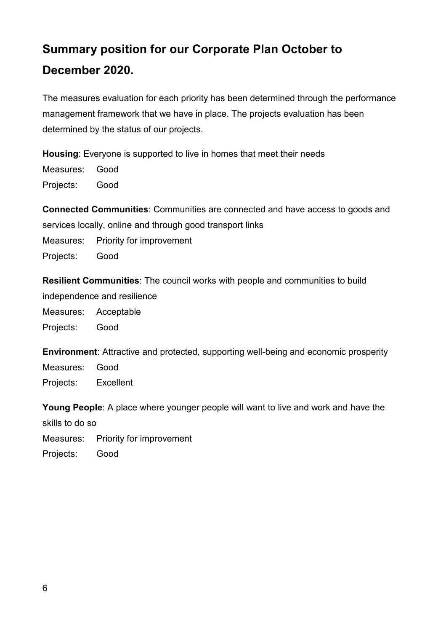# <span id="page-5-0"></span>**Summary position for our Corporate Plan October to December 2020.**

The measures evaluation for each priority has been determined through the performance management framework that we have in place. The projects evaluation has been determined by the status of our projects.

**Housing**: Everyone is supported to live in homes that meet their needs

Measures: Good Projects: Good

**Connected Communities**: Communities are connected and have access to goods and services locally, online and through good transport links Measures: Priority for improvement Projects: Good

**Resilient Communities**: The council works with people and communities to build

independence and resilience

Measures: Acceptable

Projects: Good

**Environment**: Attractive and protected, supporting well-being and economic prosperity Measures: Good Projects: Excellent

**Young People**: A place where younger people will want to live and work and have the

skills to do so

Measures: Priority for improvement

Projects: Good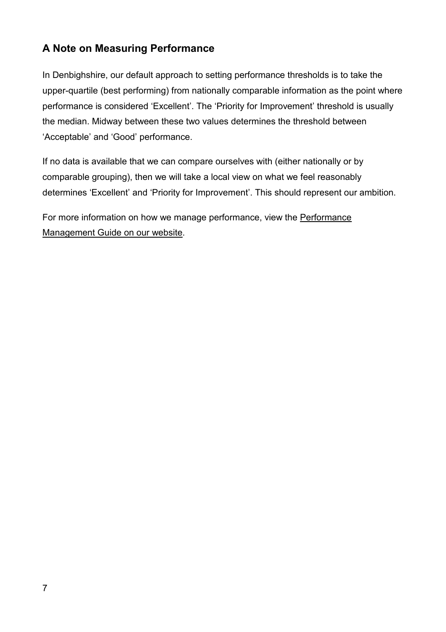# <span id="page-6-0"></span>**A Note on Measuring Performance**

In Denbighshire, our default approach to setting performance thresholds is to take the upper-quartile (best performing) from nationally comparable information as the point where performance is considered 'Excellent'. The 'Priority for Improvement' threshold is usually the median. Midway between these two values determines the threshold between 'Acceptable' and 'Good' performance.

If no data is available that we can compare ourselves with (either nationally or by comparable grouping), then we will take a local view on what we feel reasonably determines 'Excellent' and 'Priority for Improvement'. This should represent our ambition.

For more information on how we manage performance, view the [Performance](https://www.denbighshire.gov.uk/en/your-council/about-the-council/reviewing-the-councils-performance.aspx)  [Management Guide on our website.](https://www.denbighshire.gov.uk/en/your-council/about-the-council/reviewing-the-councils-performance.aspx)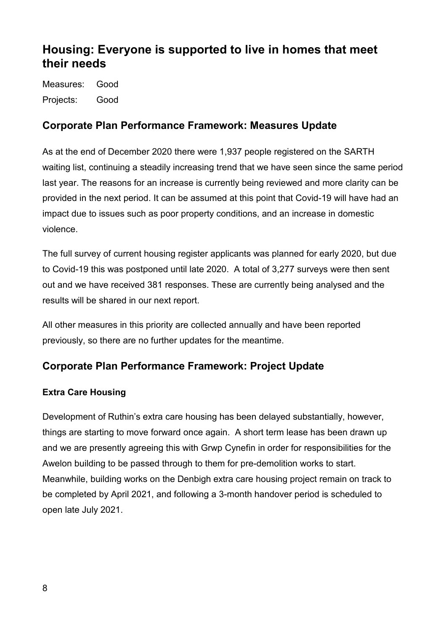# <span id="page-7-0"></span>**Housing: Everyone is supported to live in homes that meet their needs**

Measures: Good Projects: Good

# **Corporate Plan Performance Framework: Measures Update**

As at the end of December 2020 there were 1,937 people registered on the SARTH waiting list, continuing a steadily increasing trend that we have seen since the same period last year. The reasons for an increase is currently being reviewed and more clarity can be provided in the next period. It can be assumed at this point that Covid-19 will have had an impact due to issues such as poor property conditions, and an increase in domestic violence.

The full survey of current housing register applicants was planned for early 2020, but due to Covid-19 this was postponed until late 2020. A total of 3,277 surveys were then sent out and we have received 381 responses. These are currently being analysed and the results will be shared in our next report.

All other measures in this priority are collected annually and have been reported previously, so there are no further updates for the meantime.

# **Corporate Plan Performance Framework: Project Update**

#### **Extra Care Housing**

Development of Ruthin's extra care housing has been delayed substantially, however, things are starting to move forward once again. A short term lease has been drawn up and we are presently agreeing this with Grwp Cynefin in order for responsibilities for the Awelon building to be passed through to them for pre-demolition works to start. Meanwhile, building works on the Denbigh extra care housing project remain on track to be completed by April 2021, and following a 3-month handover period is scheduled to open late July 2021.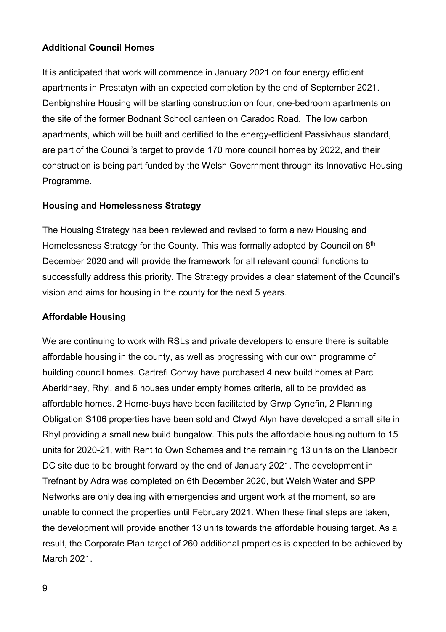#### **Additional Council Homes**

It is anticipated that work will commence in January 2021 on four energy efficient apartments in Prestatyn with an expected completion by the end of September 2021. Denbighshire Housing will be starting construction on four, one-bedroom apartments on the site of the former Bodnant School canteen on Caradoc Road. The low carbon apartments, which will be built and certified to the energy-efficient Passivhaus standard, are part of the Council's target to provide 170 more council homes by 2022, and their construction is being part funded by the Welsh Government through its Innovative Housing Programme.

#### **Housing and Homelessness Strategy**

The Housing Strategy has been reviewed and revised to form a new Housing and Homelessness Strategy for the County. This was formally adopted by Council on 8<sup>th</sup> December 2020 and will provide the framework for all relevant council functions to successfully address this priority. The Strategy provides a clear statement of the Council's vision and aims for housing in the county for the next 5 years.

#### **Affordable Housing**

We are continuing to work with RSLs and private developers to ensure there is suitable affordable housing in the county, as well as progressing with our own programme of building council homes. Cartrefi Conwy have purchased 4 new build homes at Parc Aberkinsey, Rhyl, and 6 houses under empty homes criteria, all to be provided as affordable homes. 2 Home-buys have been facilitated by Grwp Cynefin, 2 Planning Obligation S106 properties have been sold and Clwyd Alyn have developed a small site in Rhyl providing a small new build bungalow. This puts the affordable housing outturn to 15 units for 2020-21, with Rent to Own Schemes and the remaining 13 units on the Llanbedr DC site due to be brought forward by the end of January 2021. The development in Trefnant by Adra was completed on 6th December 2020, but Welsh Water and SPP Networks are only dealing with emergencies and urgent work at the moment, so are unable to connect the properties until February 2021. When these final steps are taken, the development will provide another 13 units towards the affordable housing target. As a result, the Corporate Plan target of 260 additional properties is expected to be achieved by March 2021.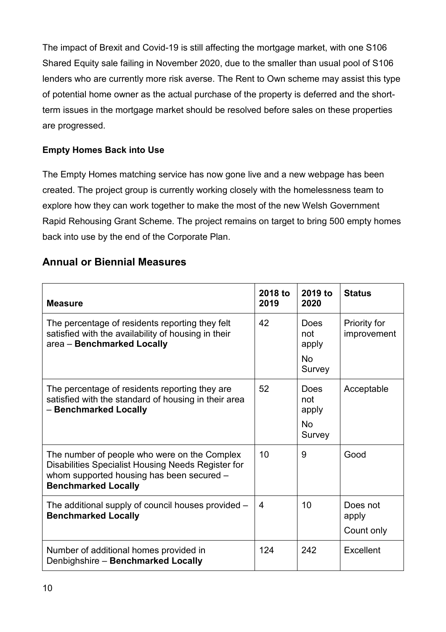The impact of Brexit and Covid-19 is still affecting the mortgage market, with one S106 Shared Equity sale failing in November 2020, due to the smaller than usual pool of S106 lenders who are currently more risk averse. The Rent to Own scheme may assist this type of potential home owner as the actual purchase of the property is deferred and the shortterm issues in the mortgage market should be resolved before sales on these properties are progressed.

#### **Empty Homes Back into Use**

The Empty Homes matching service has now gone live and a new webpage has been created. The project group is currently working closely with the homelessness team to explore how they can work together to make the most of the new Welsh Government Rapid Rehousing Grant Scheme. The project remains on target to bring 500 empty homes back into use by the end of the Corporate Plan.

#### **Annual or Biennial Measures**

| <b>Measure</b>                                                                                                                                                                | 2018 to<br>2019 | 2019 to<br>2020                             | <b>Status</b>                   |
|-------------------------------------------------------------------------------------------------------------------------------------------------------------------------------|-----------------|---------------------------------------------|---------------------------------|
| The percentage of residents reporting they felt<br>satisfied with the availability of housing in their<br>area - Benchmarked Locally                                          | 42              | Does<br>not<br>apply<br><b>No</b><br>Survey | Priority for<br>improvement     |
| The percentage of residents reporting they are<br>satisfied with the standard of housing in their area<br>- Benchmarked Locally                                               | 52              | Does<br>not<br>apply<br><b>No</b><br>Survey | Acceptable                      |
| The number of people who were on the Complex<br>Disabilities Specialist Housing Needs Register for<br>whom supported housing has been secured -<br><b>Benchmarked Locally</b> | 10              | 9                                           | Good                            |
| The additional supply of council houses provided -<br><b>Benchmarked Locally</b>                                                                                              | 4               | 10                                          | Does not<br>apply<br>Count only |
| Number of additional homes provided in<br>Denbighshire - Benchmarked Locally                                                                                                  | 124             | 242                                         | Excellent                       |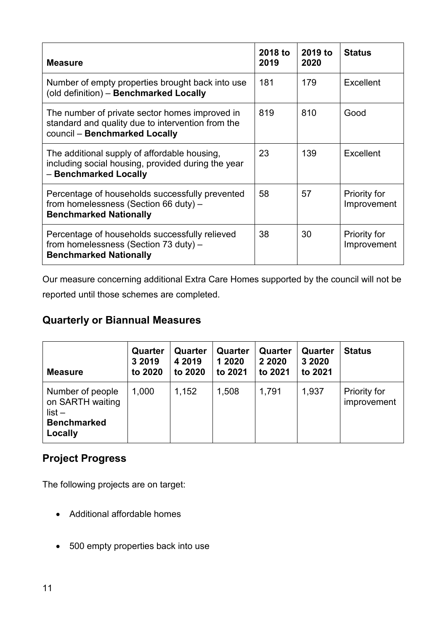| <b>Measure</b>                                                                                                                       | 2018 to<br>2019 | 2019 to<br>2020 | <b>Status</b>                      |
|--------------------------------------------------------------------------------------------------------------------------------------|-----------------|-----------------|------------------------------------|
| Number of empty properties brought back into use<br>(old definition) - Benchmarked Locally                                           | 181             | 179             | Excellent                          |
| The number of private sector homes improved in<br>standard and quality due to intervention from the<br>council - Benchmarked Locally | 819             | 810             | Good                               |
| The additional supply of affordable housing,<br>including social housing, provided during the year<br>- Benchmarked Locally          | 23              | 139             | Excellent                          |
| Percentage of households successfully prevented<br>from homelessness (Section 66 duty) -<br><b>Benchmarked Nationally</b>            | 58              | 57              | <b>Priority for</b><br>Improvement |
| Percentage of households successfully relieved<br>from homelessness (Section 73 duty) -<br><b>Benchmarked Nationally</b>             | 38              | 30              | <b>Priority for</b><br>Improvement |

Our measure concerning additional Extra Care Homes supported by the council will not be reported until those schemes are completed.

# **Quarterly or Biannual Measures**

| <b>Measure</b>                                                                    | Quarter<br>3 2019<br>to 2020 | Quarter<br>4 2019<br>to 2020 | Quarter<br>1 2020<br>to 2021 | Quarter<br>2 2020<br>to 2021 | Quarter<br>3 2020<br>to 2021 | <b>Status</b>               |
|-----------------------------------------------------------------------------------|------------------------------|------------------------------|------------------------------|------------------------------|------------------------------|-----------------------------|
| Number of people<br>on SARTH waiting<br>$list -$<br><b>Benchmarked</b><br>Locally | 1,000                        | 1,152                        | 1,508                        | 1,791                        | 1,937                        | Priority for<br>improvement |

# **Project Progress**

The following projects are on target:

- Additional affordable homes
- 500 empty properties back into use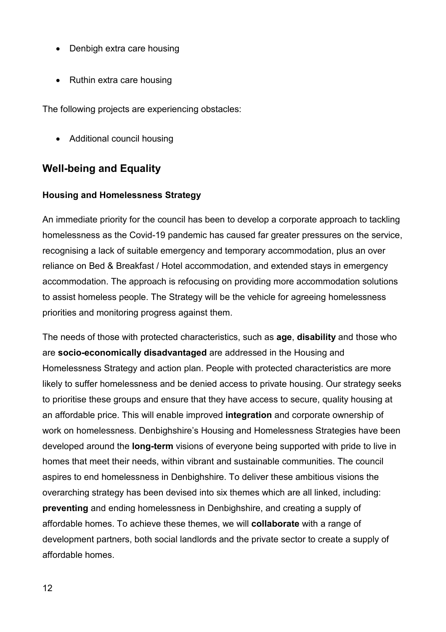- Denbigh extra care housing
- Ruthin extra care housing

The following projects are experiencing obstacles:

• Additional council housing

# **Well-being and Equality**

#### **Housing and Homelessness Strategy**

An immediate priority for the council has been to develop a corporate approach to tackling homelessness as the Covid-19 pandemic has caused far greater pressures on the service, recognising a lack of suitable emergency and temporary accommodation, plus an over reliance on Bed & Breakfast / Hotel accommodation, and extended stays in emergency accommodation. The approach is refocusing on providing more accommodation solutions to assist homeless people. The Strategy will be the vehicle for agreeing homelessness priorities and monitoring progress against them.

The needs of those with protected characteristics, such as **age**, **disability** and those who are **socio-economically disadvantaged** are addressed in the Housing and Homelessness Strategy and action plan. People with protected characteristics are more likely to suffer homelessness and be denied access to private housing. Our strategy seeks to prioritise these groups and ensure that they have access to secure, quality housing at an affordable price. This will enable improved **integration** and corporate ownership of work on homelessness. Denbighshire's Housing and Homelessness Strategies have been developed around the **long-term** visions of everyone being supported with pride to live in homes that meet their needs, within vibrant and sustainable communities. The council aspires to end homelessness in Denbighshire. To deliver these ambitious visions the overarching strategy has been devised into six themes which are all linked, including: **preventing** and ending homelessness in Denbighshire, and creating a supply of affordable homes. To achieve these themes, we will **collaborate** with a range of development partners, both social landlords and the private sector to create a supply of affordable homes.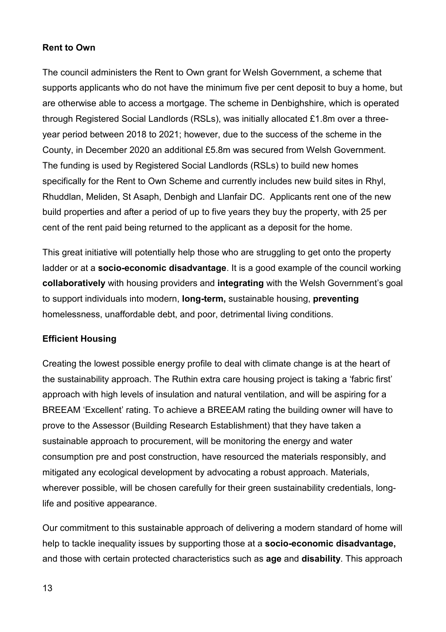#### **Rent to Own**

The council administers the Rent to Own grant for Welsh Government, a scheme that supports applicants who do not have the minimum five per cent deposit to buy a home, but are otherwise able to access a mortgage. The scheme in Denbighshire, which is operated through Registered Social Landlords (RSLs), was initially allocated £1.8m over a threeyear period between 2018 to 2021; however, due to the success of the scheme in the County, in December 2020 an additional £5.8m was secured from Welsh Government. The funding is used by Registered Social Landlords (RSLs) to build new homes specifically for the Rent to Own Scheme and currently includes new build sites in Rhyl, Rhuddlan, Meliden, St Asaph, Denbigh and Llanfair DC. Applicants rent one of the new build properties and after a period of up to five years they buy the property, with 25 per cent of the rent paid being returned to the applicant as a deposit for the home.

This great initiative will potentially help those who are struggling to get onto the property ladder or at a **socio-economic disadvantage**. It is a good example of the council working **collaboratively** with housing providers and **integrating** with the Welsh Government's goal to support individuals into modern, **long-term,** sustainable housing, **preventing** homelessness, unaffordable debt, and poor, detrimental living conditions.

#### **Efficient Housing**

Creating the lowest possible energy profile to deal with climate change is at the heart of the sustainability approach. The Ruthin extra care housing project is taking a 'fabric first' approach with high levels of insulation and natural ventilation, and will be aspiring for a BREEAM 'Excellent' rating. To achieve a BREEAM rating the building owner will have to prove to the Assessor (Building Research Establishment) that they have taken a sustainable approach to procurement, will be monitoring the energy and water consumption pre and post construction, have resourced the materials responsibly, and mitigated any ecological development by advocating a robust approach. Materials, wherever possible, will be chosen carefully for their green sustainability credentials, longlife and positive appearance.

Our commitment to this sustainable approach of delivering a modern standard of home will help to tackle inequality issues by supporting those at a **socio-economic disadvantage,** and those with certain protected characteristics such as **age** and **disability**. This approach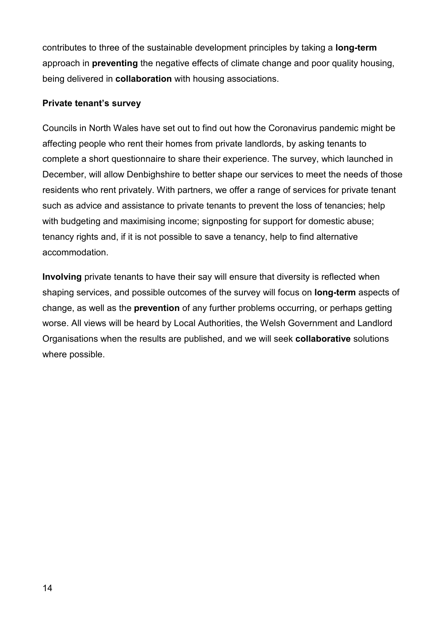contributes to three of the sustainable development principles by taking a **long-term** approach in **preventing** the negative effects of climate change and poor quality housing, being delivered in **collaboration** with housing associations.

#### **Private tenant's survey**

Councils in North Wales have set out to find out how the Coronavirus pandemic might be affecting people who rent their homes from private landlords, by asking tenants to complete a short questionnaire to share their experience. The survey, which launched in December, will allow Denbighshire to better shape our services to meet the needs of those residents who rent privately. With partners, we offer a range of services for private tenant such as advice and assistance to private tenants to prevent the loss of tenancies; help with budgeting and maximising income; signposting for support for domestic abuse; tenancy rights and, if it is not possible to save a tenancy, help to find alternative accommodation.

**Involving** private tenants to have their say will ensure that diversity is reflected when shaping services, and possible outcomes of the survey will focus on **long-term** aspects of change, as well as the **prevention** of any further problems occurring, or perhaps getting worse. All views will be heard by Local Authorities, the Welsh Government and Landlord Organisations when the results are published, and we will seek **collaborative** solutions where possible.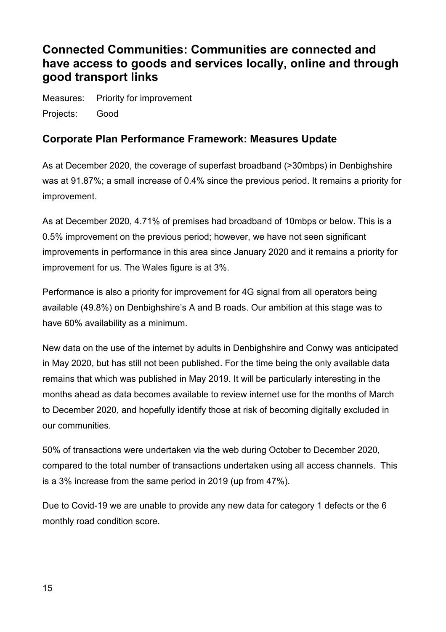# <span id="page-14-0"></span>**Connected Communities: Communities are connected and have access to goods and services locally, online and through good transport links**

Measures: Priority for improvement Projects: Good

### **Corporate Plan Performance Framework: Measures Update**

As at December 2020, the coverage of superfast broadband (>30mbps) in Denbighshire was at 91.87%; a small increase of 0.4% since the previous period. It remains a priority for improvement.

As at December 2020, 4.71% of premises had broadband of 10mbps or below. This is a 0.5% improvement on the previous period; however, we have not seen significant improvements in performance in this area since January 2020 and it remains a priority for improvement for us. The Wales figure is at 3%.

Performance is also a priority for improvement for 4G signal from all operators being available (49.8%) on Denbighshire's A and B roads. Our ambition at this stage was to have 60% availability as a minimum.

New data on the use of the internet by adults in Denbighshire and Conwy was anticipated in May 2020, but has still not been published. For the time being the only available data remains that which was published in May 2019. It will be particularly interesting in the months ahead as data becomes available to review internet use for the months of March to December 2020, and hopefully identify those at risk of becoming digitally excluded in our communities.

50% of transactions were undertaken via the web during October to December 2020, compared to the total number of transactions undertaken using all access channels. This is a 3% increase from the same period in 2019 (up from 47%).

Due to Covid-19 we are unable to provide any new data for category 1 defects or the 6 monthly road condition score.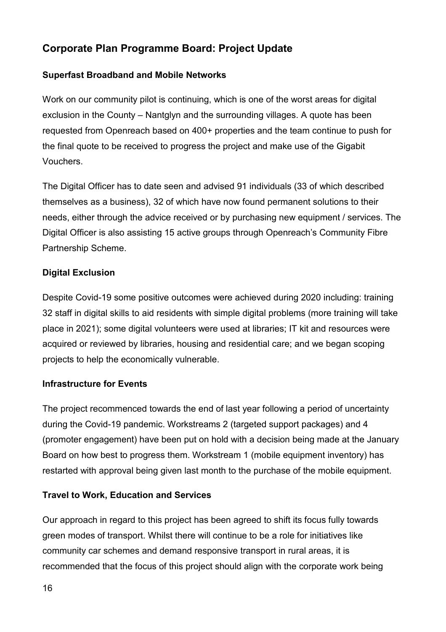# **Corporate Plan Programme Board: Project Update**

#### **Superfast Broadband and Mobile Networks**

Work on our community pilot is continuing, which is one of the worst areas for digital exclusion in the County – Nantglyn and the surrounding villages. A quote has been requested from Openreach based on 400+ properties and the team continue to push for the final quote to be received to progress the project and make use of the Gigabit Vouchers.

The Digital Officer has to date seen and advised 91 individuals (33 of which described themselves as a business), 32 of which have now found permanent solutions to their needs, either through the advice received or by purchasing new equipment / services. The Digital Officer is also assisting 15 active groups through Openreach's Community Fibre Partnership Scheme.

#### **Digital Exclusion**

Despite Covid-19 some positive outcomes were achieved during 2020 including: training 32 staff in digital skills to aid residents with simple digital problems (more training will take place in 2021); some digital volunteers were used at libraries; IT kit and resources were acquired or reviewed by libraries, housing and residential care; and we began scoping projects to help the economically vulnerable.

#### **Infrastructure for Events**

The project recommenced towards the end of last year following a period of uncertainty during the Covid-19 pandemic. Workstreams 2 (targeted support packages) and 4 (promoter engagement) have been put on hold with a decision being made at the January Board on how best to progress them. Workstream 1 (mobile equipment inventory) has restarted with approval being given last month to the purchase of the mobile equipment.

#### **Travel to Work, Education and Services**

Our approach in regard to this project has been agreed to shift its focus fully towards green modes of transport. Whilst there will continue to be a role for initiatives like community car schemes and demand responsive transport in rural areas, it is recommended that the focus of this project should align with the corporate work being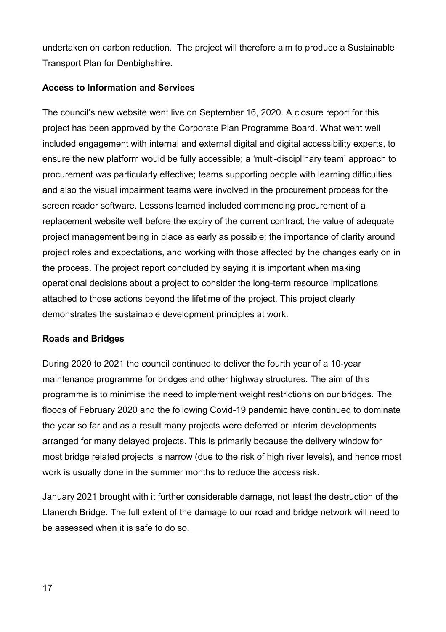undertaken on carbon reduction. The project will therefore aim to produce a Sustainable Transport Plan for Denbighshire.

#### **Access to Information and Services**

The council's new website went live on September 16, 2020. A closure report for this project has been approved by the Corporate Plan Programme Board. What went well included engagement with internal and external digital and digital accessibility experts, to ensure the new platform would be fully accessible; a 'multi-disciplinary team' approach to procurement was particularly effective; teams supporting people with learning difficulties and also the visual impairment teams were involved in the procurement process for the screen reader software. Lessons learned included commencing procurement of a replacement website well before the expiry of the current contract; the value of adequate project management being in place as early as possible; the importance of clarity around project roles and expectations, and working with those affected by the changes early on in the process. The project report concluded by saying it is important when making operational decisions about a project to consider the long-term resource implications attached to those actions beyond the lifetime of the project. This project clearly demonstrates the sustainable development principles at work.

#### **Roads and Bridges**

During 2020 to 2021 the council continued to deliver the fourth year of a 10-year maintenance programme for bridges and other highway structures. The aim of this programme is to minimise the need to implement weight restrictions on our bridges. The floods of February 2020 and the following Covid-19 pandemic have continued to dominate the year so far and as a result many projects were deferred or interim developments arranged for many delayed projects. This is primarily because the delivery window for most bridge related projects is narrow (due to the risk of high river levels), and hence most work is usually done in the summer months to reduce the access risk.

January 2021 brought with it further considerable damage, not least the destruction of the Llanerch Bridge. The full extent of the damage to our road and bridge network will need to be assessed when it is safe to do so.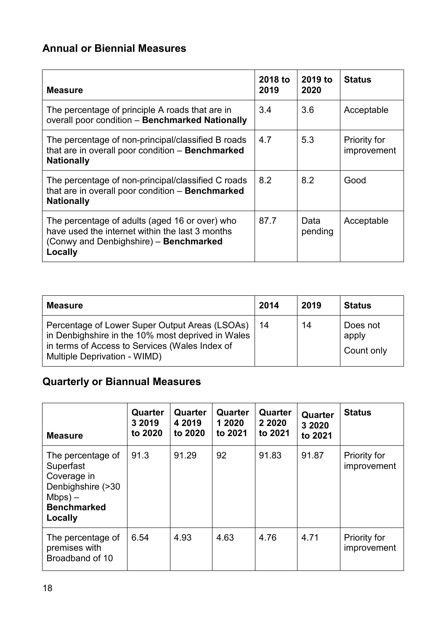# **Annual or Biennial Measures**

| <b>Measure</b>                                                                                                                                         | 2018 to<br>2019 | 2019 to<br>2020 | <b>Status</b>                      |
|--------------------------------------------------------------------------------------------------------------------------------------------------------|-----------------|-----------------|------------------------------------|
| The percentage of principle A roads that are in<br>overall poor condition - Benchmarked Nationally                                                     | 3.4             | 3.6             | Acceptable                         |
| The percentage of non-principal/classified B roads<br>that are in overall poor condition - Benchmarked<br><b>Nationally</b>                            | 4.7             | 5.3             | <b>Priority for</b><br>improvement |
| The percentage of non-principal/classified C roads<br>that are in overall poor condition - Benchmarked<br><b>Nationally</b>                            | 8.2             | 8.2             | Good                               |
| The percentage of adults (aged 16 or over) who<br>have used the internet within the last 3 months<br>(Conwy and Denbighshire) - Benchmarked<br>Locally | 87.7            | Data<br>pending | Acceptable                         |

| <b>Measure</b>                                                                                                                                                                        | 2014 | 2019 | <b>Status</b>                   |
|---------------------------------------------------------------------------------------------------------------------------------------------------------------------------------------|------|------|---------------------------------|
| Percentage of Lower Super Output Areas (LSOAs)<br>in Denbighshire in the 10% most deprived in Wales<br>in terms of Access to Services (Wales Index of<br>Multiple Deprivation - WIMD) | 14   | 14   | Does not<br>apply<br>Count only |

# **Quarterly or Biannual Measures**

| <b>Measure</b>                                                                                                    | Quarter<br>3 2019<br>to 2020 | Quarter<br>4 2019<br>to 2020 | Quarter<br>1 2020<br>to 2021 | Quarter<br>2 2020<br>to 2021 | Quarter<br>3 2020<br>to 2021 | <b>Status</b>                      |
|-------------------------------------------------------------------------------------------------------------------|------------------------------|------------------------------|------------------------------|------------------------------|------------------------------|------------------------------------|
| The percentage of<br>Superfast<br>Coverage in<br>Denbighshire (>30<br>$Mbps$ ) –<br><b>Benchmarked</b><br>Locally | 91.3                         | 91.29                        | 92                           | 91.83                        | 91.87                        | <b>Priority for</b><br>improvement |
| The percentage of<br>premises with<br>Broadband of 10                                                             | 6.54                         | 4.93                         | 4.63                         | 4.76                         | 4.71                         | <b>Priority for</b><br>improvement |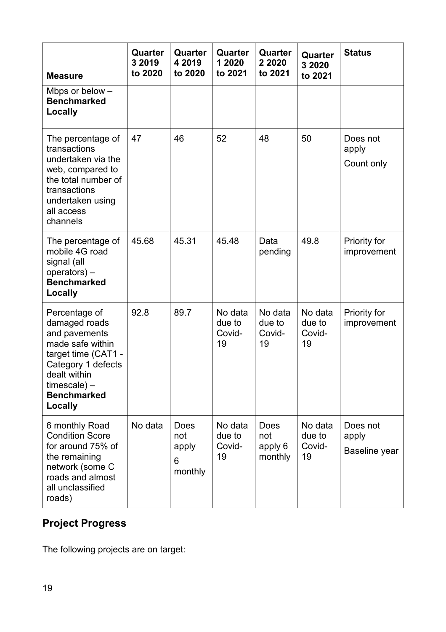| <b>Measure</b>                                                                                                                                                                        | Quarter<br>3 2019<br>to 2020 | Quarter<br>4 2019<br>to 2020         | Quarter<br>1 2020<br>to 2021      | Quarter<br>2 2020<br>to 2021             | Quarter<br>3 2020<br>to 2021      | <b>Status</b>                      |
|---------------------------------------------------------------------------------------------------------------------------------------------------------------------------------------|------------------------------|--------------------------------------|-----------------------------------|------------------------------------------|-----------------------------------|------------------------------------|
| Mbps or below $-$<br><b>Benchmarked</b><br><b>Locally</b>                                                                                                                             |                              |                                      |                                   |                                          |                                   |                                    |
| The percentage of<br>transactions<br>undertaken via the<br>web, compared to<br>the total number of<br>transactions<br>undertaken using<br>all access<br>channels                      | 47                           | 46                                   | 52                                | 48                                       | 50                                | Does not<br>apply<br>Count only    |
| The percentage of<br>mobile 4G road<br>signal (all<br>$operatores) -$<br><b>Benchmarked</b><br>Locally                                                                                | 45.68                        | 45.31                                | 45.48                             | Data<br>pending                          | 49.8                              | Priority for<br>improvement        |
| Percentage of<br>damaged roads<br>and pavements<br>made safe within<br>target time (CAT1 -<br>Category 1 defects<br>dealt within<br>$time scale$ ) –<br><b>Benchmarked</b><br>Locally | 92.8                         | 89.7                                 | No data<br>due to<br>Covid-<br>19 | No data<br>due to<br>Covid-<br>19        | No data<br>due to<br>Covid-<br>19 | Priority for<br>improvement        |
| 6 monthly Road<br><b>Condition Score</b><br>for around 75% of<br>the remaining<br>network (some C<br>roads and almost<br>all unclassified<br>roads)                                   | No data                      | Does<br>not<br>apply<br>6<br>monthly | No data<br>due to<br>Covid-<br>19 | <b>Does</b><br>not<br>apply 6<br>monthly | No data<br>due to<br>Covid-<br>19 | Does not<br>apply<br>Baseline year |

# **Project Progress**

The following projects are on target: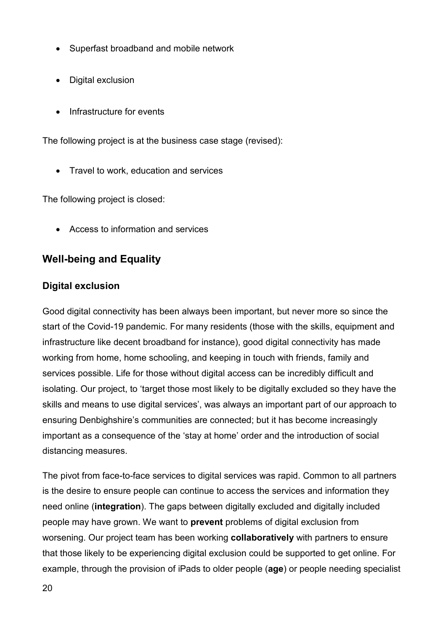- Superfast broadband and mobile network
- Digital exclusion
- Infrastructure for events

The following project is at the business case stage (revised):

• Travel to work, education and services

The following project is closed:

• Access to information and services

# **Well-being and Equality**

### **Digital exclusion**

Good digital connectivity has been always been important, but never more so since the start of the Covid-19 pandemic. For many residents (those with the skills, equipment and infrastructure like decent broadband for instance), good digital connectivity has made working from home, home schooling, and keeping in touch with friends, family and services possible. Life for those without digital access can be incredibly difficult and isolating. Our project, to 'target those most likely to be digitally excluded so they have the skills and means to use digital services', was always an important part of our approach to ensuring Denbighshire's communities are connected; but it has become increasingly important as a consequence of the 'stay at home' order and the introduction of social distancing measures.

The pivot from face-to-face services to digital services was rapid. Common to all partners is the desire to ensure people can continue to access the services and information they need online (**integration**). The gaps between digitally excluded and digitally included people may have grown. We want to **prevent** problems of digital exclusion from worsening. Our project team has been working **collaboratively** with partners to ensure that those likely to be experiencing digital exclusion could be supported to get online. For example, through the provision of iPads to older people (**age**) or people needing specialist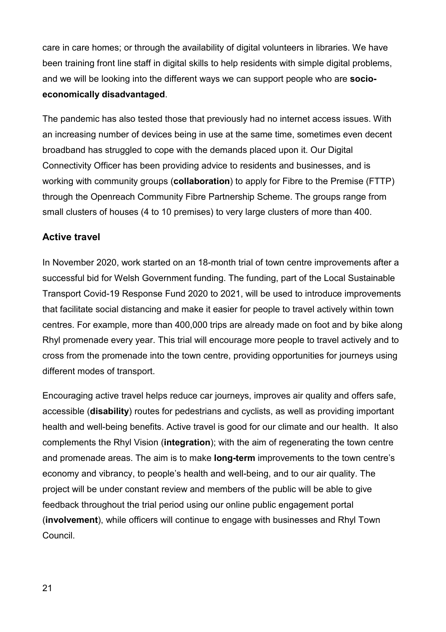care in care homes; or through the availability of digital volunteers in libraries. We have been training front line staff in digital skills to help residents with simple digital problems, and we will be looking into the different ways we can support people who are **socioeconomically disadvantaged**.

The pandemic has also tested those that previously had no internet access issues. With an increasing number of devices being in use at the same time, sometimes even decent broadband has struggled to cope with the demands placed upon it. Our Digital Connectivity Officer has been providing advice to residents and businesses, and is working with community groups (**collaboration**) to apply for Fibre to the Premise (FTTP) through the Openreach Community Fibre Partnership Scheme. The groups range from small clusters of houses (4 to 10 premises) to very large clusters of more than 400.

#### **Active travel**

In November 2020, work started on an 18-month trial of town centre improvements after a successful bid for Welsh Government funding. The funding, part of the Local Sustainable Transport Covid-19 Response Fund 2020 to 2021, will be used to introduce improvements that facilitate social distancing and make it easier for people to travel actively within town centres. For example, more than 400,000 trips are already made on foot and by bike along Rhyl promenade every year. This trial will encourage more people to travel actively and to cross from the promenade into the town centre, providing opportunities for journeys using different modes of transport.

Encouraging active travel helps reduce car journeys, improves air quality and offers safe, accessible (**disability**) routes for pedestrians and cyclists, as well as providing important health and well-being benefits. Active travel is good for our climate and our health. It also complements the Rhyl Vision (**integration**); with the aim of regenerating the town centre and promenade areas. The aim is to make **long-term** improvements to the town centre's economy and vibrancy, to people's health and well-being, and to our air quality. The project will be under constant review and members of the public will be able to give feedback throughout the trial period using our online public engagement portal (**involvement**), while officers will continue to engage with businesses and Rhyl Town Council.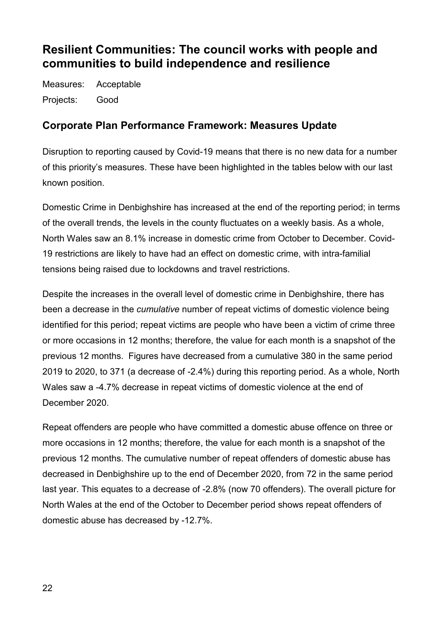# <span id="page-21-0"></span>**Resilient Communities: The council works with people and communities to build independence and resilience**

Measures: Acceptable Projects: Good

### **Corporate Plan Performance Framework: Measures Update**

Disruption to reporting caused by Covid-19 means that there is no new data for a number of this priority's measures. These have been highlighted in the tables below with our last known position.

Domestic Crime in Denbighshire has increased at the end of the reporting period; in terms of the overall trends, the levels in the county fluctuates on a weekly basis. As a whole, North Wales saw an 8.1% increase in domestic crime from October to December. Covid-19 restrictions are likely to have had an effect on domestic crime, with intra-familial tensions being raised due to lockdowns and travel restrictions.

Despite the increases in the overall level of domestic crime in Denbighshire, there has been a decrease in the *cumulative* number of repeat victims of domestic violence being identified for this period; repeat victims are people who have been a victim of crime three or more occasions in 12 months; therefore, the value for each month is a snapshot of the previous 12 months. Figures have decreased from a cumulative 380 in the same period 2019 to 2020, to 371 (a decrease of -2.4%) during this reporting period. As a whole, North Wales saw a -4.7% decrease in repeat victims of domestic violence at the end of December 2020.

Repeat offenders are people who have committed a domestic abuse offence on three or more occasions in 12 months; therefore, the value for each month is a snapshot of the previous 12 months. The cumulative number of repeat offenders of domestic abuse has decreased in Denbighshire up to the end of December 2020, from 72 in the same period last year. This equates to a decrease of -2.8% (now 70 offenders). The overall picture for North Wales at the end of the October to December period shows repeat offenders of domestic abuse has decreased by -12.7%.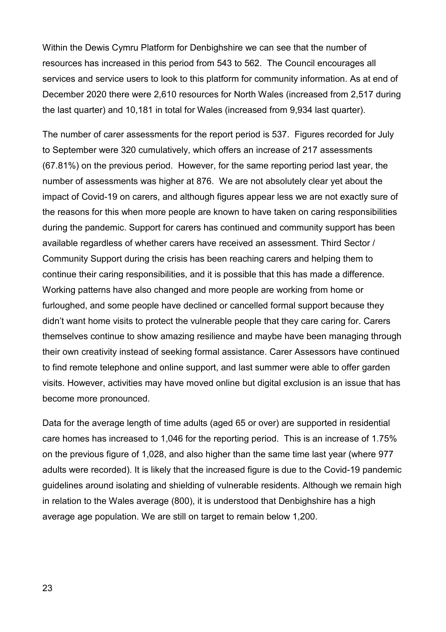Within the Dewis Cymru Platform for Denbighshire we can see that the number of resources has increased in this period from 543 to 562. The Council encourages all services and service users to look to this platform for community information. As at end of December 2020 there were 2,610 resources for North Wales (increased from 2,517 during the last quarter) and 10,181 in total for Wales (increased from 9,934 last quarter).

The number of carer assessments for the report period is 537. Figures recorded for July to September were 320 cumulatively, which offers an increase of 217 assessments (67.81%) on the previous period. However, for the same reporting period last year, the number of assessments was higher at 876. We are not absolutely clear yet about the impact of Covid-19 on carers, and although figures appear less we are not exactly sure of the reasons for this when more people are known to have taken on caring responsibilities during the pandemic. Support for carers has continued and community support has been available regardless of whether carers have received an assessment. Third Sector / Community Support during the crisis has been reaching carers and helping them to continue their caring responsibilities, and it is possible that this has made a difference. Working patterns have also changed and more people are working from home or furloughed, and some people have declined or cancelled formal support because they didn't want home visits to protect the vulnerable people that they care caring for. Carers themselves continue to show amazing resilience and maybe have been managing through their own creativity instead of seeking formal assistance. Carer Assessors have continued to find remote telephone and online support, and last summer were able to offer garden visits. However, activities may have moved online but digital exclusion is an issue that has become more pronounced.

Data for the average length of time adults (aged 65 or over) are supported in residential care homes has increased to 1,046 for the reporting period. This is an increase of 1.75% on the previous figure of 1,028, and also higher than the same time last year (where 977 adults were recorded). It is likely that the increased figure is due to the Covid-19 pandemic guidelines around isolating and shielding of vulnerable residents. Although we remain high in relation to the Wales average (800), it is understood that Denbighshire has a high average age population. We are still on target to remain below 1,200.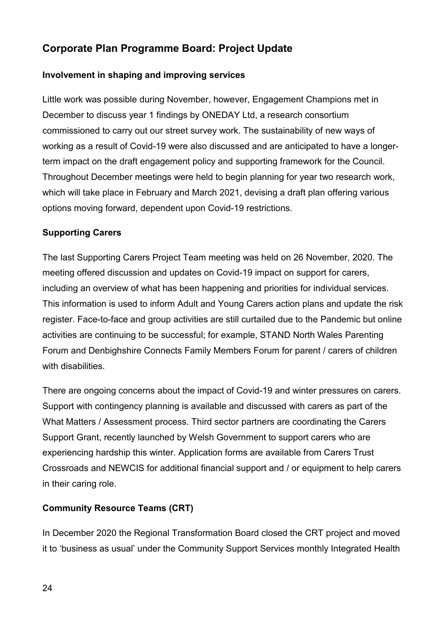# **Corporate Plan Programme Board: Project Update**

#### **Involvement in shaping and improving services**

Little work was possible during November, however, Engagement Champions met in December to discuss year 1 findings by ONEDAY Ltd, a research consortium commissioned to carry out our street survey work. The sustainability of new ways of working as a result of Covid-19 were also discussed and are anticipated to have a longerterm impact on the draft engagement policy and supporting framework for the Council. Throughout December meetings were held to begin planning for year two research work, which will take place in February and March 2021, devising a draft plan offering various options moving forward, dependent upon Covid-19 restrictions.

#### **Supporting Carers**

The last Supporting Carers Project Team meeting was held on 26 November, 2020. The meeting offered discussion and updates on Covid-19 impact on support for carers, including an overview of what has been happening and priorities for individual services. This information is used to inform Adult and Young Carers action plans and update the risk register. Face-to-face and group activities are still curtailed due to the Pandemic but online activities are continuing to be successful; for example, STAND North Wales Parenting Forum and Denbighshire Connects Family Members Forum for parent / carers of children with disabilities.

There are ongoing concerns about the impact of Covid-19 and winter pressures on carers. Support with contingency planning is available and discussed with carers as part of the What Matters / Assessment process. Third sector partners are coordinating the Carers Support Grant, recently launched by Welsh Government to support carers who are experiencing hardship this winter. Application forms are available from Carers Trust Crossroads and NEWCIS for additional financial support and / or equipment to help carers in their caring role.

#### **Community Resource Teams (CRT)**

In December 2020 the Regional Transformation Board closed the CRT project and moved it to 'business as usual' under the Community Support Services monthly Integrated Health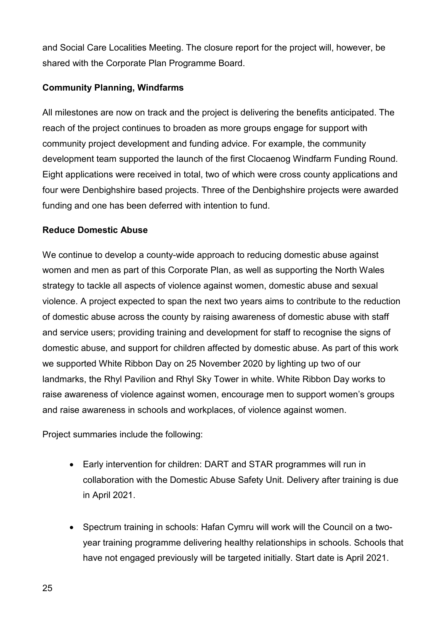and Social Care Localities Meeting. The closure report for the project will, however, be shared with the Corporate Plan Programme Board.

#### **Community Planning, Windfarms**

All milestones are now on track and the project is delivering the benefits anticipated. The reach of the project continues to broaden as more groups engage for support with community project development and funding advice. For example, the community development team supported the launch of the first Clocaenog Windfarm Funding Round. Eight applications were received in total, two of which were cross county applications and four were Denbighshire based projects. Three of the Denbighshire projects were awarded funding and one has been deferred with intention to fund.

#### **Reduce Domestic Abuse**

We continue to develop a county-wide approach to reducing domestic abuse against women and men as part of this Corporate Plan, as well as supporting the North Wales strategy to tackle all aspects of violence against women, domestic abuse and sexual violence. A project expected to span the next two years aims to contribute to the reduction of domestic abuse across the county by raising awareness of domestic abuse with staff and service users; providing training and development for staff to recognise the signs of domestic abuse, and support for children affected by domestic abuse. As part of this work we supported White Ribbon Day on 25 November 2020 by lighting up two of our landmarks, the Rhyl Pavilion and Rhyl Sky Tower in white. White Ribbon Day works to raise awareness of violence against women, encourage men to support women's groups and raise awareness in schools and workplaces, of violence against women.

Project summaries include the following:

- Early intervention for children: DART and STAR programmes will run in collaboration with the Domestic Abuse Safety Unit. Delivery after training is due in April 2021.
- Spectrum training in schools: Hafan Cymru will work will the Council on a twoyear training programme delivering healthy relationships in schools. Schools that have not engaged previously will be targeted initially. Start date is April 2021.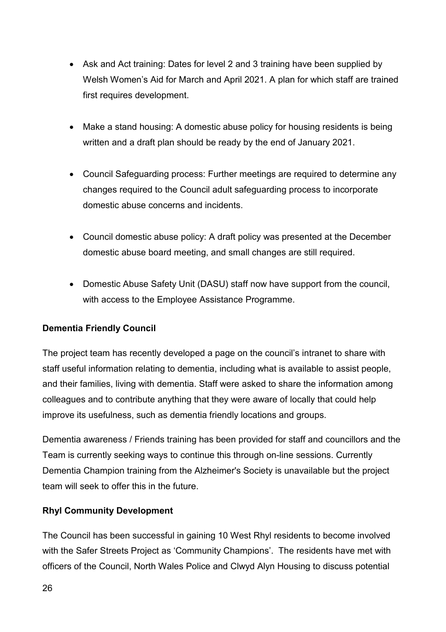- Ask and Act training: Dates for level 2 and 3 training have been supplied by Welsh Women's Aid for March and April 2021. A plan for which staff are trained first requires development.
- Make a stand housing: A domestic abuse policy for housing residents is being written and a draft plan should be ready by the end of January 2021.
- Council Safeguarding process: Further meetings are required to determine any changes required to the Council adult safeguarding process to incorporate domestic abuse concerns and incidents.
- Council domestic abuse policy: A draft policy was presented at the December domestic abuse board meeting, and small changes are still required.
- Domestic Abuse Safety Unit (DASU) staff now have support from the council, with access to the Employee Assistance Programme.

#### **Dementia Friendly Council**

The project team has recently developed a page on the council's intranet to share with staff useful information relating to dementia, including what is available to assist people, and their families, living with dementia. Staff were asked to share the information among colleagues and to contribute anything that they were aware of locally that could help improve its usefulness, such as dementia friendly locations and groups.

Dementia awareness / Friends training has been provided for staff and councillors and the Team is currently seeking ways to continue this through on-line sessions. Currently Dementia Champion training from the Alzheimer's Society is unavailable but the project team will seek to offer this in the future.

#### **Rhyl Community Development**

The Council has been successful in gaining 10 West Rhyl residents to become involved with the Safer Streets Project as 'Community Champions'. The residents have met with officers of the Council, North Wales Police and Clwyd Alyn Housing to discuss potential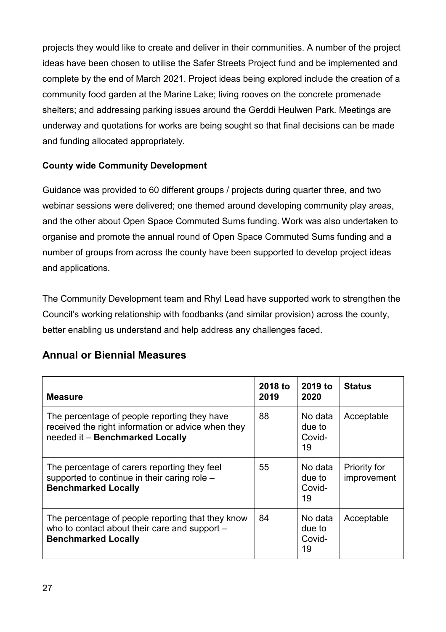projects they would like to create and deliver in their communities. A number of the project ideas have been chosen to utilise the Safer Streets Project fund and be implemented and complete by the end of March 2021. Project ideas being explored include the creation of a community food garden at the Marine Lake; living rooves on the concrete promenade shelters; and addressing parking issues around the Gerddi Heulwen Park. Meetings are underway and quotations for works are being sought so that final decisions can be made and funding allocated appropriately.

#### **County wide Community Development**

Guidance was provided to 60 different groups / projects during quarter three, and two webinar sessions were delivered; one themed around developing community play areas, and the other about Open Space Commuted Sums funding. Work was also undertaken to organise and promote the annual round of Open Space Commuted Sums funding and a number of groups from across the county have been supported to develop project ideas and applications.

The Community Development team and Rhyl Lead have supported work to strengthen the Council's working relationship with foodbanks (and similar provision) across the county, better enabling us understand and help address any challenges faced.

| <b>Annual or Biennial Measures</b> |
|------------------------------------|
|------------------------------------|

| <b>Measure</b>                                                                                                                        | 2018 to<br>2019 | 2019 to<br>2020                   | <b>Status</b>                      |
|---------------------------------------------------------------------------------------------------------------------------------------|-----------------|-----------------------------------|------------------------------------|
| The percentage of people reporting they have<br>received the right information or advice when they<br>needed it - Benchmarked Locally | 88              | No data<br>due to<br>Covid-<br>19 | Acceptable                         |
| The percentage of carers reporting they feel<br>supported to continue in their caring role -<br><b>Benchmarked Locally</b>            | 55              | No data<br>due to<br>Covid-<br>19 | <b>Priority for</b><br>improvement |
| The percentage of people reporting that they know<br>who to contact about their care and support -<br><b>Benchmarked Locally</b>      | 84              | No data<br>due to<br>Covid-<br>19 | Acceptable                         |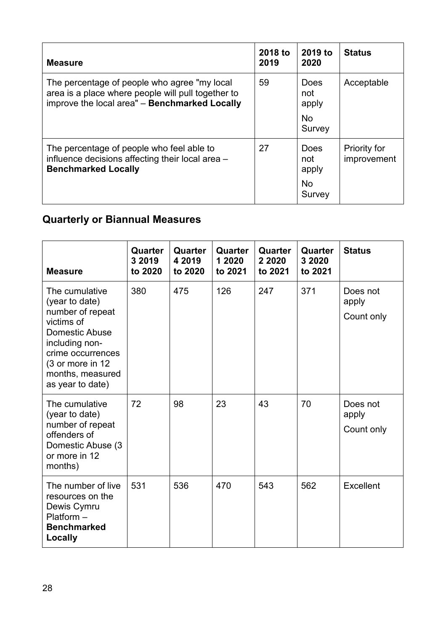| <b>Measure</b>                                                                                                                                       | 2018 to<br>2019 | 2019 to<br>2020                                    | <b>Status</b>                      |
|------------------------------------------------------------------------------------------------------------------------------------------------------|-----------------|----------------------------------------------------|------------------------------------|
| The percentage of people who agree "my local"<br>area is a place where people will pull together to<br>improve the local area" - Benchmarked Locally | 59              | <b>Does</b><br>not<br>apply<br><b>No</b><br>Survey | Acceptable                         |
| The percentage of people who feel able to<br>influence decisions affecting their local area -<br><b>Benchmarked Locally</b>                          | 27              | Does<br>not<br>apply<br><b>No</b><br>Survey        | <b>Priority for</b><br>improvement |

# **Quarterly or Biannual Measures**

| <b>Measure</b>                                                                                                                                                                          | Quarter<br>3 2019<br>to 2020 | Quarter<br>4 2019<br>to 2020 | Quarter<br>1 2020<br>to 2021 | Quarter<br>2 2020<br>to 2021 | Quarter<br>3 2020<br>to 2021 | <b>Status</b>                   |
|-----------------------------------------------------------------------------------------------------------------------------------------------------------------------------------------|------------------------------|------------------------------|------------------------------|------------------------------|------------------------------|---------------------------------|
| The cumulative<br>(year to date)<br>number of repeat<br>victims of<br>Domestic Abuse<br>including non-<br>crime occurrences<br>(3 or more in 12<br>months, measured<br>as year to date) | 380                          | 475                          | 126                          | 247                          | 371                          | Does not<br>apply<br>Count only |
| The cumulative<br>(year to date)<br>number of repeat<br>offenders of<br>Domestic Abuse (3)<br>or more in 12<br>months)                                                                  | 72                           | 98                           | 23                           | 43                           | 70                           | Does not<br>apply<br>Count only |
| The number of live<br>resources on the<br>Dewis Cymru<br>$Platform -$<br><b>Benchmarked</b><br>Locally                                                                                  | 531                          | 536                          | 470                          | 543                          | 562                          | Excellent                       |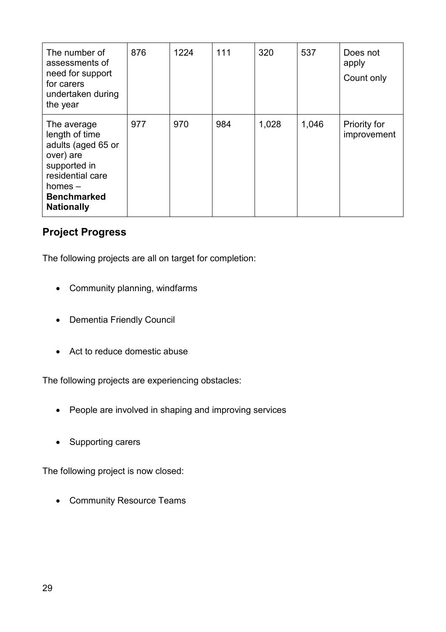| The number of<br>assessments of<br>need for support<br>for carers<br>undertaken during<br>the year                                                           | 876 | 1224 | 111 | 320   | 537   | Does not<br>apply<br>Count only    |
|--------------------------------------------------------------------------------------------------------------------------------------------------------------|-----|------|-----|-------|-------|------------------------------------|
| The average<br>length of time<br>adults (aged 65 or<br>over) are<br>supported in<br>residential care<br>homes $-$<br><b>Benchmarked</b><br><b>Nationally</b> | 977 | 970  | 984 | 1,028 | 1,046 | <b>Priority for</b><br>improvement |

#### **Project Progress**

The following projects are all on target for completion:

- Community planning, windfarms
- Dementia Friendly Council
- Act to reduce domestic abuse

The following projects are experiencing obstacles:

- People are involved in shaping and improving services
- Supporting carers

The following project is now closed:

• Community Resource Teams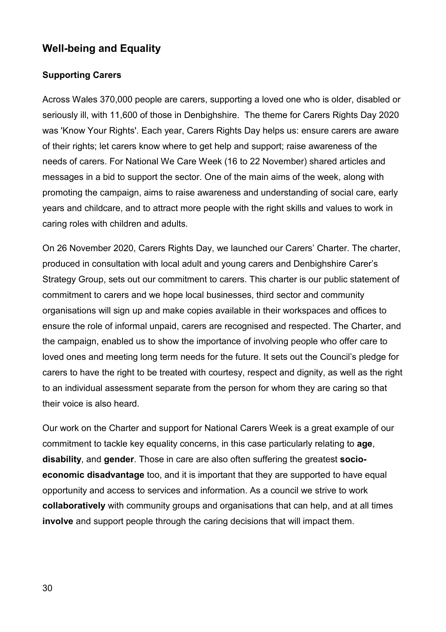### **Well-being and Equality**

#### **Supporting Carers**

Across Wales 370,000 people are carers, supporting a loved one who is older, disabled or seriously ill, with 11,600 of those in Denbighshire. The theme for Carers Rights Day 2020 was 'Know Your Rights'. Each year, Carers Rights Day helps us: ensure carers are aware of their rights; let carers know where to get help and support; raise awareness of the needs of carers. For National We Care Week (16 to 22 November) shared articles and messages in a bid to support the sector. One of the main aims of the week, along with promoting the campaign, aims to raise awareness and understanding of social care, early years and childcare, and to attract more people with the right skills and values to work in caring roles with children and adults.

On 26 November 2020, Carers Rights Day, we launched our [Carers' Charter.](https://www.denbighshire.gov.uk/en/health-and-social-care/carers/denbighshires-carers-charter.aspx) The charter, produced in consultation with local adult and young carers and Denbighshire Carer's Strategy Group, sets out our commitment to carers. This charter is our public statement of commitment to carers and we hope local businesses, third sector and community organisations will sign up and make copies available in their workspaces and offices to ensure the role of informal unpaid, carers are recognised and respected. The Charter, and the campaign, enabled us to show the importance of involving people who offer care to loved ones and meeting long term needs for the future. It sets out the Council's pledge for carers to have the right to be treated with courtesy, respect and dignity, as well as the right to an individual assessment separate from the person for whom they are caring so that their voice is also heard.

Our work on the Charter and support for National Carers Week is a great example of our commitment to tackle key equality concerns, in this case particularly relating to **age**, **disability**, and **gender**. Those in care are also often suffering the greatest **socioeconomic disadvantage** too, and it is important that they are supported to have equal opportunity and access to services and information. As a council we strive to work **collaboratively** with community groups and organisations that can help, and at all times **involve** and support people through the caring decisions that will impact them.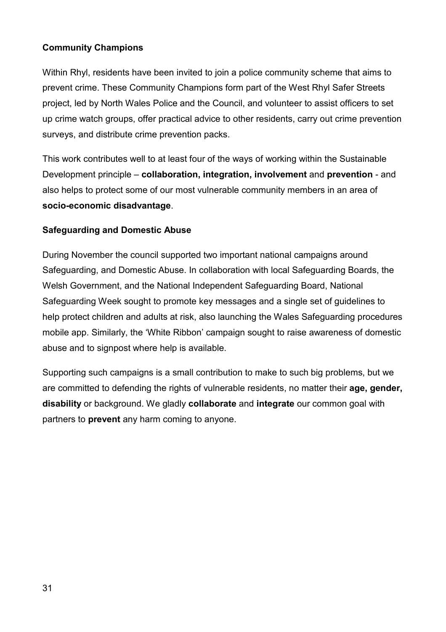#### **Community Champions**

Within Rhyl, residents have been invited to join a police community scheme that aims to prevent crime. These Community Champions form part of the West Rhyl Safer Streets project, led by North Wales Police and the Council, and volunteer to assist officers to set up crime watch groups, offer practical advice to other residents, carry out crime prevention surveys, and distribute crime prevention packs.

This work contributes well to at least four of the ways of working within the Sustainable Development principle – **collaboration, integration, involvement** and **prevention** - and also helps to protect some of our most vulnerable community members in an area of **socio-economic disadvantage**.

#### **Safeguarding and Domestic Abuse**

During November the council supported two important national campaigns around Safeguarding, and Domestic Abuse. In collaboration with local Safeguarding Boards, the Welsh Government, and the National Independent Safeguarding Board, National Safeguarding Week sought to promote key messages and a single set of guidelines to help protect children and adults at risk, also launching the Wales Safeguarding procedures mobile app. Similarly, the 'White Ribbon' campaign sought to raise awareness of domestic abuse and to signpost where help is available.

Supporting such campaigns is a small contribution to make to such big problems, but we are committed to defending the rights of vulnerable residents, no matter their **age, gender, disability** or background. We gladly **collaborate** and **integrate** our common goal with partners to **prevent** any harm coming to anyone.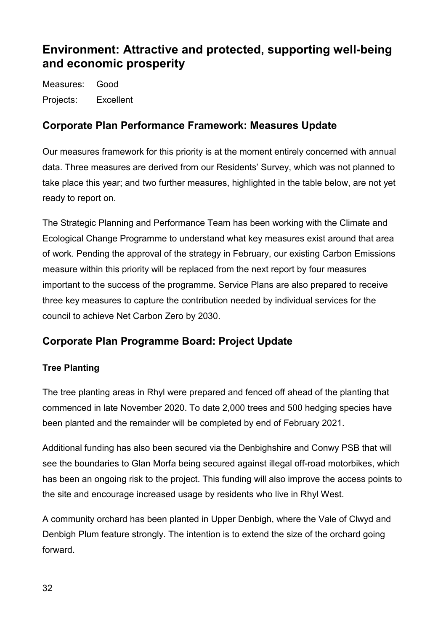# <span id="page-31-0"></span>**Environment: Attractive and protected, supporting well-being and economic prosperity**

Measures: Good Projects: Excellent

# **Corporate Plan Performance Framework: Measures Update**

Our measures framework for this priority is at the moment entirely concerned with annual data. Three measures are derived from our Residents' Survey, which was not planned to take place this year; and two further measures, highlighted in the table below, are not yet ready to report on.

The Strategic Planning and Performance Team has been working with the Climate and Ecological Change Programme to understand what key measures exist around that area of work. Pending the approval of the strategy in February, our existing Carbon Emissions measure within this priority will be replaced from the next report by four measures important to the success of the programme. Service Plans are also prepared to receive three key measures to capture the contribution needed by individual services for the council to achieve Net Carbon Zero by 2030.

# **Corporate Plan Programme Board: Project Update**

#### **Tree Planting**

The tree planting areas in Rhyl were prepared and fenced off ahead of the planting that commenced in late November 2020. To date 2,000 trees and 500 hedging species have been planted and the remainder will be completed by end of February 2021.

Additional funding has also been secured via the Denbighshire and Conwy PSB that will see the boundaries to Glan Morfa being secured against illegal off-road motorbikes, which has been an ongoing risk to the project. This funding will also improve the access points to the site and encourage increased usage by residents who live in Rhyl West.

A community orchard has been planted in Upper Denbigh, where the Vale of Clwyd and Denbigh Plum feature strongly. The intention is to extend the size of the orchard going forward.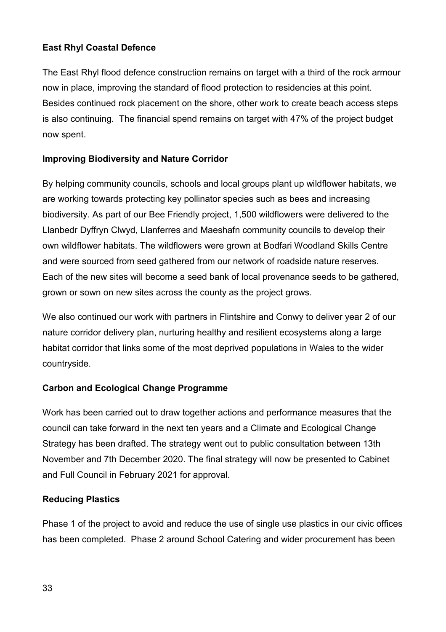#### **East Rhyl Coastal Defence**

The East Rhyl flood defence construction remains on target with a third of the rock armour now in place, improving the standard of flood protection to residencies at this point. Besides continued rock placement on the shore, other work to create beach access steps is also continuing. The financial spend remains on target with 47% of the project budget now spent.

#### **Improving Biodiversity and Nature Corridor**

By helping community councils, schools and local groups plant up wildflower habitats, we are working towards protecting key pollinator species such as bees and increasing biodiversity. As part of our Bee Friendly project, 1,500 wildflowers were delivered to the Llanbedr Dyffryn Clwyd, Llanferres and Maeshafn community councils to develop their own wildflower habitats. The wildflowers were grown at Bodfari Woodland Skills Centre and were sourced from seed gathered from our network of roadside nature reserves. Each of the new sites will become a seed bank of local provenance seeds to be gathered, grown or sown on new sites across the county as the project grows.

We also continued our work with partners in Flintshire and Conwy to deliver year 2 of our nature corridor delivery plan, nurturing healthy and resilient ecosystems along a large habitat corridor that links some of the most deprived populations in Wales to the wider countryside.

#### **Carbon and Ecological Change Programme**

Work has been carried out to draw together actions and performance measures that the council can take forward in the next ten years and a Climate and Ecological Change Strategy has been drafted. The strategy went out to public consultation between 13th November and 7th December 2020. The final strategy will now be presented to Cabinet and Full Council in February 2021 for approval.

#### **Reducing Plastics**

Phase 1 of the project to avoid and reduce the use of single use plastics in our civic offices has been completed. Phase 2 around School Catering and wider procurement has been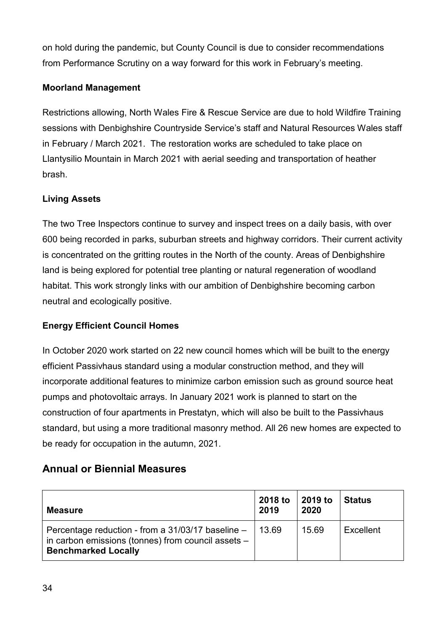on hold during the pandemic, but County Council is due to consider recommendations from Performance Scrutiny on a way forward for this work in February's meeting.

#### **Moorland Management**

Restrictions allowing, North Wales Fire & Rescue Service are due to hold Wildfire Training sessions with Denbighshire Countryside Service's staff and Natural Resources Wales staff in February / March 2021. The restoration works are scheduled to take place on Llantysilio Mountain in March 2021 with aerial seeding and transportation of heather brash.

#### **Living Assets**

The two Tree Inspectors continue to survey and inspect trees on a daily basis, with over 600 being recorded in parks, suburban streets and highway corridors. Their current activity is concentrated on the gritting routes in the North of the county. Areas of Denbighshire land is being explored for potential tree planting or natural regeneration of woodland habitat. This work strongly links with our ambition of Denbighshire becoming carbon neutral and ecologically positive.

#### **Energy Efficient Council Homes**

In October 2020 work started on 22 new council homes which will be built to the energy efficient Passivhaus standard using a modular construction method, and they will incorporate additional features to minimize carbon emission such as ground source heat pumps and photovoltaic arrays. In January 2021 work is planned to start on the construction of four apartments in Prestatyn, which will also be built to the Passivhaus standard, but using a more traditional masonry method. All 26 new homes are expected to be ready for occupation in the autumn, 2021.

# **Annual or Biennial Measures**

| <b>Measure</b>                                                                                                                        | 2018 to<br>2019 | 2019 to<br>2020 | <b>Status</b> |
|---------------------------------------------------------------------------------------------------------------------------------------|-----------------|-----------------|---------------|
| Percentage reduction - from a 31/03/17 baseline -<br>in carbon emissions (tonnes) from council assets -<br><b>Benchmarked Locally</b> | 13.69           | 15.69           | Excellent     |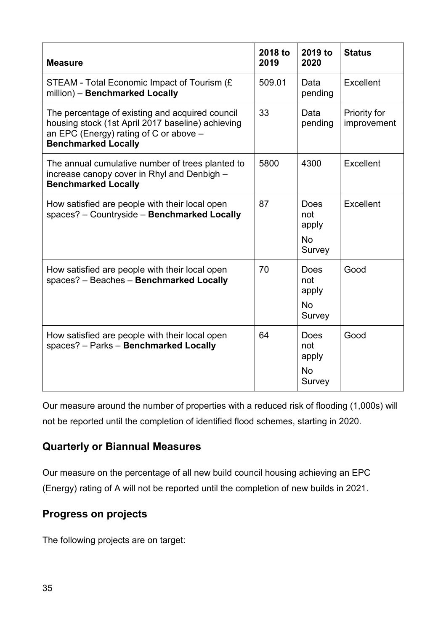| <b>Measure</b>                                                                                                                                                                 | 2018 to<br>2019 | 2019 to<br>2020                                    | <b>Status</b>               |
|--------------------------------------------------------------------------------------------------------------------------------------------------------------------------------|-----------------|----------------------------------------------------|-----------------------------|
| STEAM - Total Economic Impact of Tourism (£<br>million) - Benchmarked Locally                                                                                                  | 509.01          | Data<br>pending                                    | Excellent                   |
| The percentage of existing and acquired council<br>housing stock (1st April 2017 baseline) achieving<br>an EPC (Energy) rating of C or above $-$<br><b>Benchmarked Locally</b> | 33              | Data<br>pending                                    | Priority for<br>improvement |
| The annual cumulative number of trees planted to<br>increase canopy cover in Rhyl and Denbigh -<br><b>Benchmarked Locally</b>                                                  | 5800            | 4300                                               | Excellent                   |
| How satisfied are people with their local open<br>spaces? - Countryside - Benchmarked Locally                                                                                  | 87              | Does<br>not<br>apply<br><b>No</b><br>Survey        | Excellent                   |
| How satisfied are people with their local open<br>spaces? - Beaches - Benchmarked Locally                                                                                      | 70              | <b>Does</b><br>not<br>apply<br><b>No</b><br>Survey | Good                        |
| How satisfied are people with their local open<br>spaces? - Parks - Benchmarked Locally                                                                                        | 64              | <b>Does</b><br>not<br>apply<br><b>No</b><br>Survey | Good                        |

Our measure around the number of properties with a reduced risk of flooding (1,000s) will not be reported until the completion of identified flood schemes, starting in 2020.

# **Quarterly or Biannual Measures**

Our measure on the percentage of all new build council housing achieving an EPC (Energy) rating of A will not be reported until the completion of new builds in 2021.

# **Progress on projects**

The following projects are on target: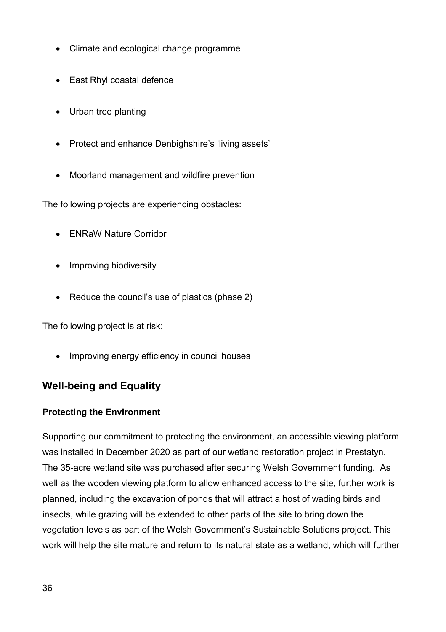- Climate and ecological change programme
- East Rhyl coastal defence
- Urban tree planting
- Protect and enhance Denbighshire's 'living assets'
- Moorland management and wildfire prevention

The following projects are experiencing obstacles:

- ENRaW Nature Corridor
- Improving biodiversity
- Reduce the council's use of plastics (phase 2)

The following project is at risk:

• Improving energy efficiency in council houses

# **Well-being and Equality**

#### **Protecting the Environment**

Supporting our commitment to protecting the environment, an accessible viewing platform was installed in December 2020 as part of our wetland restoration project in Prestatyn. The 35-acre wetland site was purchased after securing Welsh Government funding. As well as the wooden viewing platform to allow enhanced access to the site, further work is planned, including the excavation of ponds that will attract a host of wading birds and insects, while grazing will be extended to other parts of the site to bring down the vegetation levels as part of the Welsh Government's Sustainable Solutions project. This work will help the site mature and return to its natural state as a wetland, which will further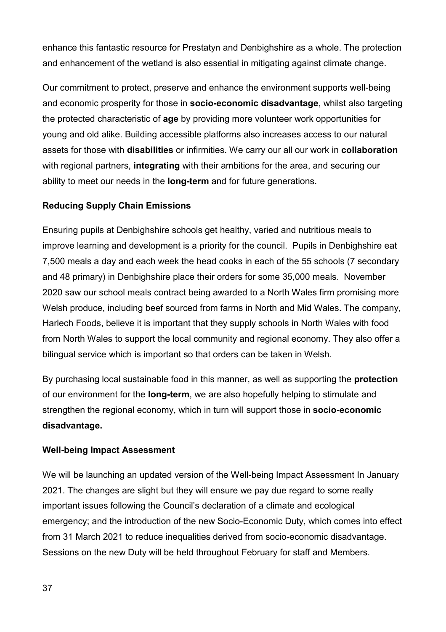enhance this fantastic resource for Prestatyn and Denbighshire as a whole. The protection and enhancement of the wetland is also essential in mitigating against climate change.

Our commitment to protect, preserve and enhance the environment supports well-being and economic prosperity for those in **socio-economic disadvantage**, whilst also targeting the protected characteristic of **age** by providing more volunteer work opportunities for young and old alike. Building accessible platforms also increases access to our natural assets for those with **disabilities** or infirmities. We carry our all our work in **collaboration** with regional partners, **integrating** with their ambitions for the area, and securing our ability to meet our needs in the **long-term** and for future generations.

#### **Reducing Supply Chain Emissions**

Ensuring pupils at Denbighshire schools get healthy, varied and nutritious meals to improve learning and development is a priority for the council. Pupils in Denbighshire eat 7,500 meals a day and each week the head cooks in each of the 55 schools (7 secondary and 48 primary) in Denbighshire place their orders for some 35,000 meals. November 2020 saw our school meals contract being awarded to a North Wales firm promising more Welsh produce, including beef sourced from farms in North and Mid Wales. The company, Harlech Foods, believe it is important that they supply schools in North Wales with food from North Wales to support the local community and regional economy. They also offer a bilingual service which is important so that orders can be taken in Welsh.

By purchasing local sustainable food in this manner, as well as supporting the **protection** of our environment for the **long-term**, we are also hopefully helping to stimulate and strengthen the regional economy, which in turn will support those in **socio-economic disadvantage.**

#### **Well-being Impact Assessment**

We will be launching an updated version of the [Well-being Impact Assessment](http://wellbeingad.denbighshire.gov.uk/) In January 2021. The changes are slight but they will ensure we pay due regard to some really important issues following the Council's declaration of a climate and ecological emergency; and the introduction of the new Socio-Economic Duty, which comes into effect from 31 March 2021 to reduce inequalities derived from socio-economic disadvantage. Sessions on the new Duty will be held throughout February for staff and Members.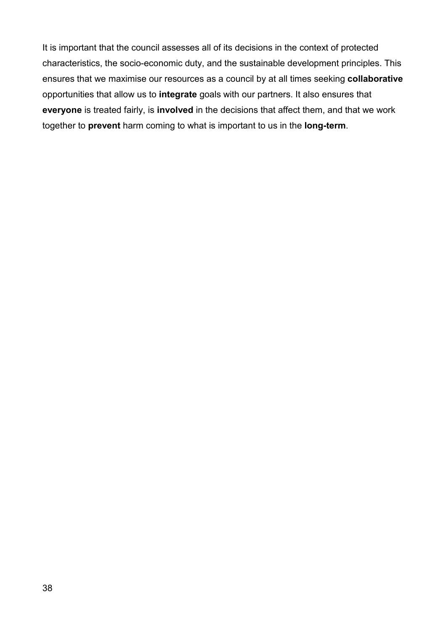<span id="page-37-0"></span>It is important that the council assesses all of its decisions in the context of protected characteristics, the socio-economic duty, and the sustainable development principles. This ensures that we maximise our resources as a council by at all times seeking **collaborative** opportunities that allow us to **integrate** goals with our partners. It also ensures that **everyone** is treated fairly, is **involved** in the decisions that affect them, and that we work together to **prevent** harm coming to what is important to us in the **long-term**.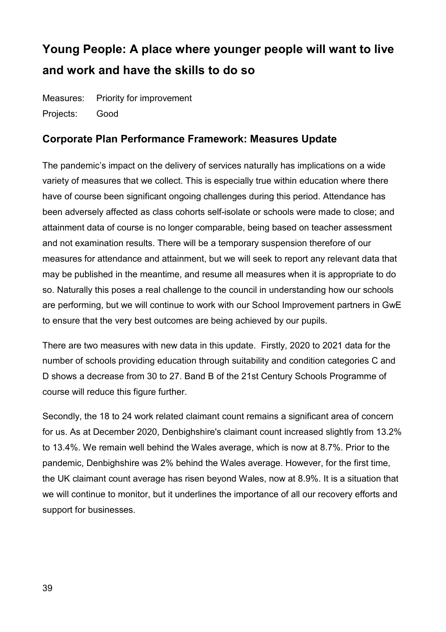# **Young People: A place where younger people will want to live and work and have the skills to do so**

Measures: Priority for improvement Projects: Good

#### **Corporate Plan Performance Framework: Measures Update**

The pandemic's impact on the delivery of services naturally has implications on a wide variety of measures that we collect. This is especially true within education where there have of course been significant ongoing challenges during this period. Attendance has been adversely affected as class cohorts self-isolate or schools were made to close; and attainment data of course is no longer comparable, being based on teacher assessment and not examination results. There will be a temporary suspension therefore of our measures for attendance and attainment, but we will seek to report any relevant data that may be published in the meantime, and resume all measures when it is appropriate to do so. Naturally this poses a real challenge to the council in understanding how our schools are performing, but we will continue to work with our School Improvement partners in GwE to ensure that the very best outcomes are being achieved by our pupils.

There are two measures with new data in this update. Firstly, 2020 to 2021 data for the number of schools providing education through suitability and condition categories C and D shows a decrease from 30 to 27. Band B of the 21st Century Schools Programme of course will reduce this figure further.

Secondly, the 18 to 24 work related claimant count remains a significant area of concern for us. As at December 2020, Denbighshire's claimant count increased slightly from 13.2% to 13.4%. We remain well behind the Wales average, which is now at 8.7%. Prior to the pandemic, Denbighshire was 2% behind the Wales average. However, for the first time, the UK claimant count average has risen beyond Wales, now at 8.9%. It is a situation that we will continue to monitor, but it underlines the importance of all our recovery efforts and support for businesses.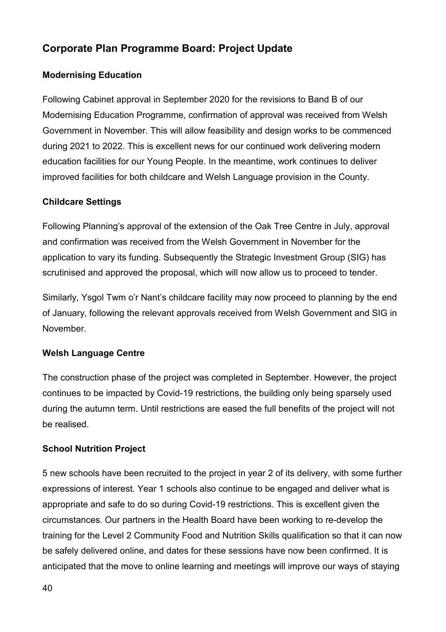# **Corporate Plan Programme Board: Project Update**

#### **Modernising Education**

Following Cabinet approval in September 2020 for the revisions to Band B of our Modernising Education Programme, confirmation of approval was received from Welsh Government in November. This will allow feasibility and design works to be commenced during 2021 to 2022. This is excellent news for our continued work delivering modern education facilities for our Young People. In the meantime, work continues to deliver improved facilities for both childcare and Welsh Language provision in the County.

#### **Childcare Settings**

Following Planning's approval of the extension of the Oak Tree Centre in July, approval and confirmation was received from the Welsh Government in November for the application to vary its funding. Subsequently the Strategic Investment Group (SIG) has scrutinised and approved the proposal, which will now allow us to proceed to tender.

Similarly, Ysgol Twm o'r Nant's childcare facility may now proceed to planning by the end of January, following the relevant approvals received from Welsh Government and SIG in November.

#### **Welsh Language Centre**

The construction phase of the project was completed in September. However, the project continues to be impacted by Covid-19 restrictions, the building only being sparsely used during the autumn term. Until restrictions are eased the full benefits of the project will not be realised.

#### **School Nutrition Project**

5 new schools have been recruited to the project in year 2 of its delivery, with some further expressions of interest. Year 1 schools also continue to be engaged and deliver what is appropriate and safe to do so during Covid-19 restrictions. This is excellent given the circumstances. Our partners in the Health Board have been working to re-develop the training for the Level 2 Community Food and Nutrition Skills qualification so that it can now be safely delivered online, and dates for these sessions have now been confirmed. It is anticipated that the move to online learning and meetings will improve our ways of staying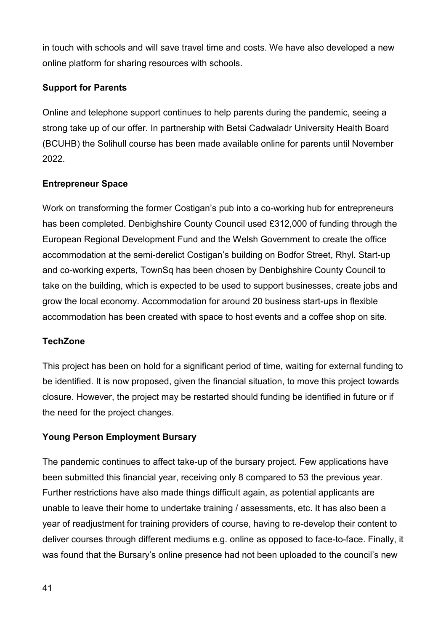in touch with schools and will save travel time and costs. We have also developed a new online platform for sharing resources with schools.

#### **Support for Parents**

Online and telephone support continues to help parents during the pandemic, seeing a strong take up of our offer. In partnership with Betsi Cadwaladr University Health Board (BCUHB) the Solihull course has been made available online for parents until November 2022.

#### **Entrepreneur Space**

Work on transforming the former Costigan's pub into a co-working hub for entrepreneurs has been completed. Denbighshire County Council used £312,000 of funding through the European Regional Development Fund and the Welsh Government to create the office accommodation at the semi-derelict Costigan's building on Bodfor Street, Rhyl. Start-up and co-working experts, TownSq has been chosen by Denbighshire County Council to take on the building, which is expected to be used to support businesses, create jobs and grow the local economy. Accommodation for around 20 business start-ups in flexible accommodation has been created with space to host events and a coffee shop on site.

#### **TechZone**

This project has been on hold for a significant period of time, waiting for external funding to be identified. It is now proposed, given the financial situation, to move this project towards closure. However, the project may be restarted should funding be identified in future or if the need for the project changes.

#### **Young Person Employment Bursary**

The pandemic continues to affect take-up of the bursary project. Few applications have been submitted this financial year, receiving only 8 compared to 53 the previous year. Further restrictions have also made things difficult again, as potential applicants are unable to leave their home to undertake training / assessments, etc. It has also been a year of readjustment for training providers of course, having to re-develop their content to deliver courses through different mediums e.g. online as opposed to face-to-face. Finally, it was found that the Bursary's online presence had not been uploaded to the council's new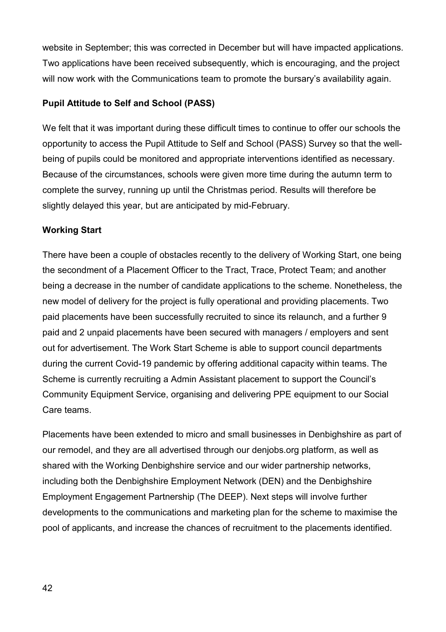website in September; this was corrected in December but will have impacted applications. Two applications have been received subsequently, which is encouraging, and the project will now work with the Communications team to promote the bursary's availability again.

#### **Pupil Attitude to Self and School (PASS)**

We felt that it was important during these difficult times to continue to offer our schools the opportunity to access the Pupil Attitude to Self and School (PASS) Survey so that the wellbeing of pupils could be monitored and appropriate interventions identified as necessary. Because of the circumstances, schools were given more time during the autumn term to complete the survey, running up until the Christmas period. Results will therefore be slightly delayed this year, but are anticipated by mid-February.

#### **Working Start**

There have been a couple of obstacles recently to the delivery of Working Start, one being the secondment of a Placement Officer to the Tract, Trace, Protect Team; and another being a decrease in the number of candidate applications to the scheme. Nonetheless, the new model of delivery for the project is fully operational and providing placements. Two paid placements have been successfully recruited to since its relaunch, and a further 9 paid and 2 unpaid placements have been secured with managers / employers and sent out for advertisement. The Work Start Scheme is able to support council departments during the current Covid-19 pandemic by offering additional capacity within teams. The Scheme is currently recruiting a Admin Assistant placement to support the Council's Community Equipment Service, organising and delivering PPE equipment to our Social Care teams.

Placements have been extended to micro and small businesses in Denbighshire as part of our remodel, and they are all advertised through our denjobs.org platform, as well as shared with the Working Denbighshire service and our wider partnership networks, including both the Denbighshire Employment Network (DEN) and the Denbighshire Employment Engagement Partnership (The DEEP). Next steps will involve further developments to the communications and marketing plan for the scheme to maximise the pool of applicants, and increase the chances of recruitment to the placements identified.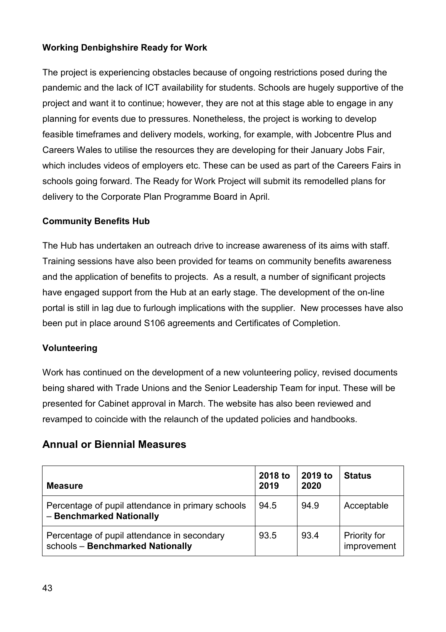#### **Working Denbighshire Ready for Work**

The project is experiencing obstacles because of ongoing restrictions posed during the pandemic and the lack of ICT availability for students. Schools are hugely supportive of the project and want it to continue; however, they are not at this stage able to engage in any planning for events due to pressures. Nonetheless, the project is working to develop feasible timeframes and delivery models, working, for example, with Jobcentre Plus and Careers Wales to utilise the resources they are developing for their January Jobs Fair, which includes videos of employers etc. These can be used as part of the Careers Fairs in schools going forward. The Ready for Work Project will submit its remodelled plans for delivery to the Corporate Plan Programme Board in April.

#### **Community Benefits Hub**

The Hub has undertaken an outreach drive to increase awareness of its aims with staff. Training sessions have also been provided for teams on community benefits awareness and the application of benefits to projects. As a result, a number of significant projects have engaged support from the Hub at an early stage. The development of the on-line portal is still in lag due to furlough implications with the supplier. New processes have also been put in place around S106 agreements and Certificates of Completion.

#### **Volunteering**

Work has continued on the development of a new volunteering policy, revised documents being shared with Trade Unions and the Senior Leadership Team for input. These will be presented for Cabinet approval in March. The website has also been reviewed and revamped to coincide with the relaunch of the updated policies and handbooks.

#### **Annual or Biennial Measures**

| <b>Measure</b>                                                                  | 2018 to<br>2019 | 2019 to<br>2020 | <b>Status</b>               |
|---------------------------------------------------------------------------------|-----------------|-----------------|-----------------------------|
| Percentage of pupil attendance in primary schools<br>- Benchmarked Nationally   | 94.5            | 94.9            | Acceptable                  |
| Percentage of pupil attendance in secondary<br>schools - Benchmarked Nationally | 93.5            | 93.4            | Priority for<br>improvement |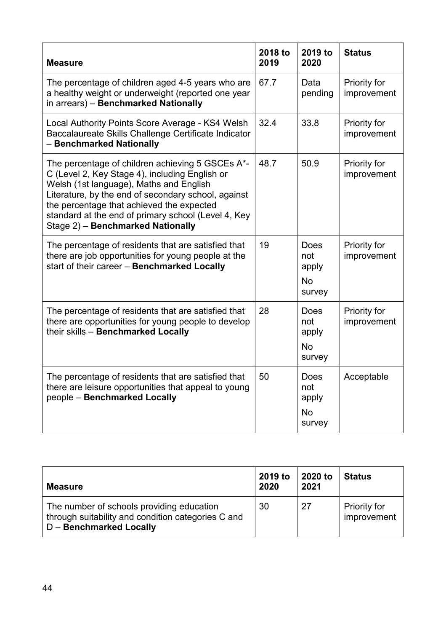| <b>Measure</b>                                                                                                                                                                                                                                                                                                                                | 2018 to<br>2019 | 2019 to<br>2020                                    | <b>Status</b>                      |
|-----------------------------------------------------------------------------------------------------------------------------------------------------------------------------------------------------------------------------------------------------------------------------------------------------------------------------------------------|-----------------|----------------------------------------------------|------------------------------------|
| The percentage of children aged 4-5 years who are<br>a healthy weight or underweight (reported one year<br>in arrears) - Benchmarked Nationally                                                                                                                                                                                               | 67.7            | Data<br>pending                                    | Priority for<br>improvement        |
| Local Authority Points Score Average - KS4 Welsh<br>Baccalaureate Skills Challenge Certificate Indicator<br>- Benchmarked Nationally                                                                                                                                                                                                          | 32.4            | 33.8                                               | Priority for<br>improvement        |
| The percentage of children achieving 5 GSCEs A*-<br>C (Level 2, Key Stage 4), including English or<br>Welsh (1st language), Maths and English<br>Literature, by the end of secondary school, against<br>the percentage that achieved the expected<br>standard at the end of primary school (Level 4, Key<br>Stage 2) - Benchmarked Nationally | 48.7            | 50.9                                               | Priority for<br>improvement        |
| The percentage of residents that are satisfied that<br>there are job opportunities for young people at the<br>start of their career - Benchmarked Locally                                                                                                                                                                                     | 19              | <b>Does</b><br>not<br>apply<br><b>No</b><br>survey | <b>Priority for</b><br>improvement |
| The percentage of residents that are satisfied that<br>there are opportunities for young people to develop<br>their skills - Benchmarked Locally                                                                                                                                                                                              | 28              | <b>Does</b><br>not<br>apply<br><b>No</b><br>survey | Priority for<br>improvement        |
| The percentage of residents that are satisfied that<br>there are leisure opportunities that appeal to young<br>people - Benchmarked Locally                                                                                                                                                                                                   | 50              | Does<br>not<br>apply<br><b>No</b><br>survey        | Acceptable                         |

| <b>Measure</b>                                                                                                                    | 2019 to<br>2020 | 2020 to<br>2021 | <b>Status</b>                      |
|-----------------------------------------------------------------------------------------------------------------------------------|-----------------|-----------------|------------------------------------|
| The number of schools providing education<br>through suitability and condition categories C and<br><b>D</b> - Benchmarked Locally | 30              | 27              | <b>Priority for</b><br>improvement |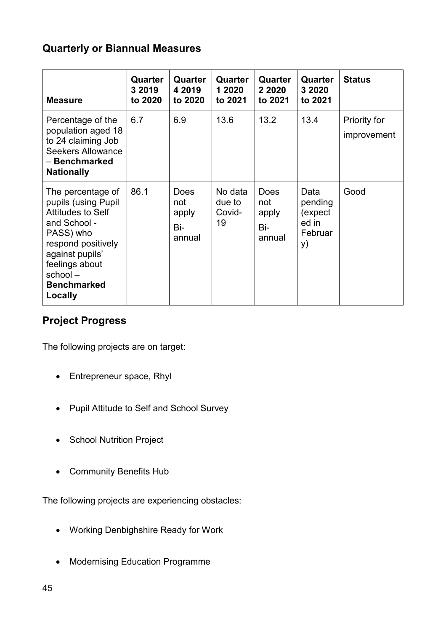# **Quarterly or Biannual Measures**

| <b>Measure</b>                                                                                                                                                                                           | Quarter<br>3 2019<br>to 2020 | Quarter<br>4 2019<br>to 2020                 | Quarter<br>1 2020<br>to 2021      | Quarter<br>2 2020<br>to 2021                 | Quarter<br>3 2020<br>to 2021                          | <b>Status</b>               |
|----------------------------------------------------------------------------------------------------------------------------------------------------------------------------------------------------------|------------------------------|----------------------------------------------|-----------------------------------|----------------------------------------------|-------------------------------------------------------|-----------------------------|
| Percentage of the<br>population aged 18<br>to 24 claiming Job<br><b>Seekers Allowance</b><br>- Benchmarked<br><b>Nationally</b>                                                                          | 6.7                          | 6.9                                          | 13.6                              | 13.2                                         | 13.4                                                  | Priority for<br>improvement |
| The percentage of<br>pupils (using Pupil<br><b>Attitudes to Self</b><br>and School -<br>PASS) who<br>respond positively<br>against pupils'<br>feelings about<br>school-<br><b>Benchmarked</b><br>Locally | 86.1                         | <b>Does</b><br>not<br>apply<br>Bi-<br>annual | No data<br>due to<br>Covid-<br>19 | <b>Does</b><br>not<br>apply<br>Bi-<br>annual | Data<br>pending<br>(expect)<br>ed in<br>Februar<br>y) | Good                        |

# **Project Progress**

The following projects are on target:

- Entrepreneur space, Rhyl
- Pupil Attitude to Self and School Survey
- School Nutrition Project
- Community Benefits Hub

The following projects are experiencing obstacles:

- Working Denbighshire Ready for Work
- Modernising Education Programme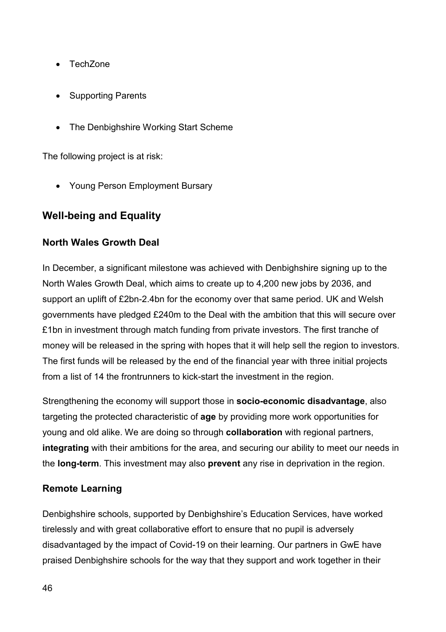- TechZone
- Supporting Parents
- The Denbighshire Working Start Scheme

The following project is at risk:

• Young Person Employment Bursary

# **Well-being and Equality**

#### **North Wales Growth Deal**

In December, a significant milestone was achieved with Denbighshire signing up to the North Wales Growth Deal, which aims to create up to 4,200 new jobs by 2036, and support an uplift of £2bn-2.4bn for the economy over that same period. UK and Welsh governments have pledged £240m to the Deal with the ambition that this will secure over £1bn in investment through match funding from private investors. The first tranche of money will be released in the spring with hopes that it will help sell the region to investors. The first funds will be released by the end of the financial year with three initial projects from a list of 14 the frontrunners to kick-start the investment in the region.

Strengthening the economy will support those in **socio-economic disadvantage**, also targeting the protected characteristic of **age** by providing more work opportunities for young and old alike. We are doing so through **collaboration** with regional partners, **integrating** with their ambitions for the area, and securing our ability to meet our needs in the **long-term**. This investment may also **prevent** any rise in deprivation in the region.

#### **Remote Learning**

Denbighshire schools, supported by Denbighshire's Education Services, have worked tirelessly and with great collaborative effort to ensure that no pupil is adversely disadvantaged by the impact of Covid-19 on their learning. Our partners in GwE have praised Denbighshire schools for the way that they support and work together in their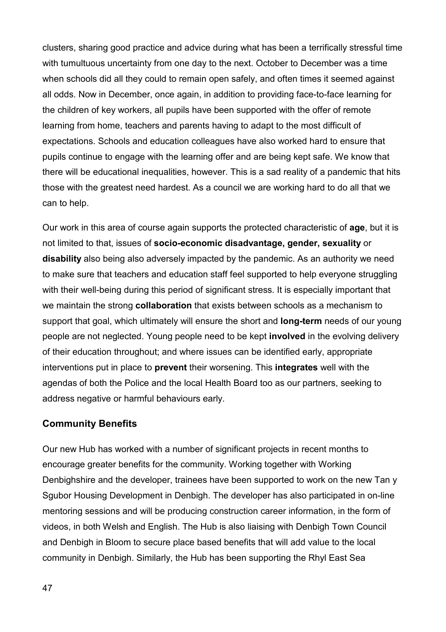clusters, sharing good practice and advice during what has been a terrifically stressful time with tumultuous uncertainty from one day to the next. October to December was a time when schools did all they could to remain open safely, and often times it seemed against all odds. Now in December, once again, in addition to providing face-to-face learning for the children of key workers, all pupils have been supported with the offer of remote learning from home, teachers and parents having to adapt to the most difficult of expectations. Schools and education colleagues have also worked hard to ensure that pupils continue to engage with the learning offer and are being kept safe. We know that there will be educational inequalities, however. This is a sad reality of a pandemic that hits those with the greatest need hardest. As a council we are working hard to do all that we can to help.

Our work in this area of course again supports the protected characteristic of **age**, but it is not limited to that, issues of **socio-economic disadvantage, gender, sexuality** or **disability** also being also adversely impacted by the pandemic. As an authority we need to make sure that teachers and education staff feel supported to help everyone struggling with their well-being during this period of significant stress. It is especially important that we maintain the strong **collaboration** that exists between schools as a mechanism to support that goal, which ultimately will ensure the short and **long-term** needs of our young people are not neglected. Young people need to be kept **involved** in the evolving delivery of their education throughout; and where issues can be identified early, appropriate interventions put in place to **prevent** their worsening. This **integrates** well with the agendas of both the Police and the local Health Board too as our partners, seeking to address negative or harmful behaviours early.

#### **Community Benefits**

Our new Hub has worked with a number of significant projects in recent months to encourage greater benefits for the community. Working together with Working Denbighshire and the developer, trainees have been supported to work on the new Tan y Sgubor Housing Development in Denbigh. The developer has also participated in on-line mentoring sessions and will be producing construction career information, in the form of videos, in both Welsh and English. The Hub is also liaising with Denbigh Town Council and Denbigh in Bloom to secure place based benefits that will add value to the local community in Denbigh. Similarly, the Hub has been supporting the Rhyl East Sea